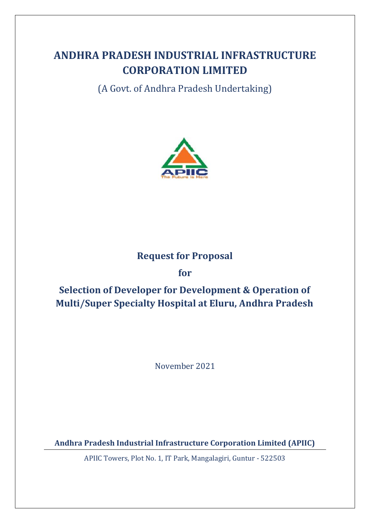# **ANDHRA PRADESH INDUSTRIAL INFRASTRUCTURE CORPORATION LIMITED**

(A Govt. of Andhra Pradesh Undertaking)



## **Request for Proposal**

## **for**

# **Selection of Developer for Development & Operation of Multi/Super Specialty Hospital at Eluru, Andhra Pradesh**

November 2021

**Andhra Pradesh Industrial Infrastructure Corporation Limited (APIIC)**

APIIC Towers, Plot No. 1, IT Park, Mangalagiri, Guntur - 522503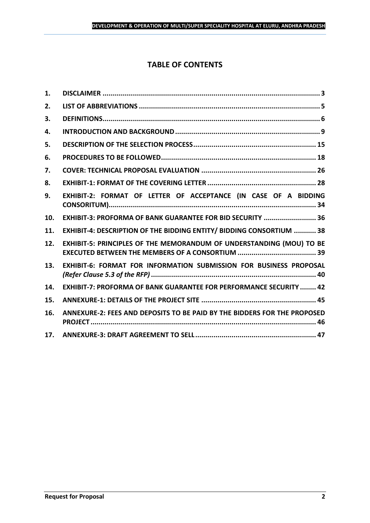## **TABLE OF CONTENTS**

| 1.  |                                                                           |
|-----|---------------------------------------------------------------------------|
| 2.  |                                                                           |
| 3.  |                                                                           |
| 4.  |                                                                           |
| 5.  |                                                                           |
| 6.  |                                                                           |
| 7.  |                                                                           |
| 8.  |                                                                           |
| 9.  | EXHIBIT-2: FORMAT OF LETTER OF ACCEPTANCE (IN CASE OF A BIDDING           |
| 10. | EXHIBIT-3: PROFORMA OF BANK GUARANTEE FOR BID SECURITY  36                |
| 11. | EXHIBIT-4: DESCRIPTION OF THE BIDDING ENTITY/ BIDDING CONSORTIUM  38      |
| 12. | EXHIBIT-5: PRINCIPLES OF THE MEMORANDUM OF UNDERSTANDING (MOU) TO BE      |
| 13. | EXHIBIT-6: FORMAT FOR INFORMATION SUBMISSION FOR BUSINESS PROPOSAL        |
| 14. | <b>EXHIBIT-7: PROFORMA OF BANK GUARANTEE FOR PERFORMANCE SECURITY  42</b> |
| 15. |                                                                           |
| 16. | ANNEXURE-2: FEES AND DEPOSITS TO BE PAID BY THE BIDDERS FOR THE PROPOSED  |
| 17. |                                                                           |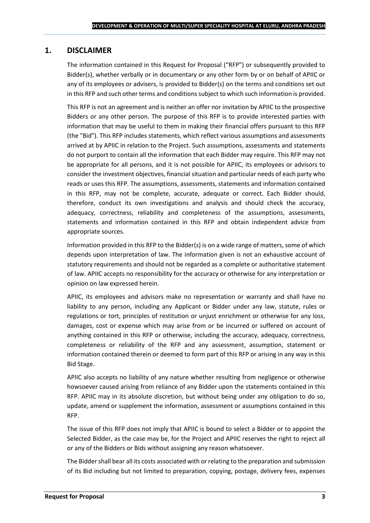## <span id="page-2-0"></span>**1. DISCLAIMER**

The information contained in this Request for Proposal ("RFP") or subsequently provided to Bidder(s), whether verbally or in documentary or any other form by or on behalf of APIIC or any of its employees or advisers, is provided to Bidder(s) on the terms and conditions set out in this RFP and such other terms and conditions subject to which such information is provided.

This RFP is not an agreement and is neither an offer nor invitation by APIIC to the prospective Bidders or any other person. The purpose of this RFP is to provide interested parties with information that may be useful to them in making their financial offers pursuant to this RFP (the "Bid"). This RFP includes statements, which reflect various assumptions and assessments arrived at by APIIC in relation to the Project. Such assumptions, assessments and statements do not purport to contain all the information that each Bidder may require. This RFP may not be appropriate for all persons, and it is not possible for APIIC, its employees or advisors to consider the investment objectives, financial situation and particular needs of each party who reads or uses this RFP. The assumptions, assessments, statements and information contained in this RFP, may not be complete, accurate, adequate or correct. Each Bidder should, therefore, conduct its own investigations and analysis and should check the accuracy, adequacy, correctness, reliability and completeness of the assumptions, assessments, statements and information contained in this RFP and obtain independent advice from appropriate sources.

Information provided in this RFP to the Bidder(s) is on a wide range of matters, some of which depends upon interpretation of law. The information given is not an exhaustive account of statutory requirements and should not be regarded as a complete or authoritative statement of law. APIIC accepts no responsibility for the accuracy or otherwise for any interpretation or opinion on law expressed herein.

APIIC, its employees and advisors make no representation or warranty and shall have no liability to any person, including any Applicant or Bidder under any law, statute, rules or regulations or tort, principles of restitution or unjust enrichment or otherwise for any loss, damages, cost or expense which may arise from or be incurred or suffered on account of anything contained in this RFP or otherwise, including the accuracy, adequacy, correctness, completeness or reliability of the RFP and any assessment, assumption, statement or information contained therein or deemed to form part of this RFP or arising in any way in this Bid Stage.

APIIC also accepts no liability of any nature whether resulting from negligence or otherwise howsoever caused arising from reliance of any Bidder upon the statements contained in this RFP. APIIC may in its absolute discretion, but without being under any obligation to do so, update, amend or supplement the information, assessment or assumptions contained in this RFP.

The issue of this RFP does not imply that APIIC is bound to select a Bidder or to appoint the Selected Bidder, as the case may be, for the Project and APIIC reserves the right to reject all or any of the Bidders or Bids without assigning any reason whatsoever.

The Bidder shall bear all its costs associated with or relating to the preparation and submission of its Bid including but not limited to preparation, copying, postage, delivery fees, expenses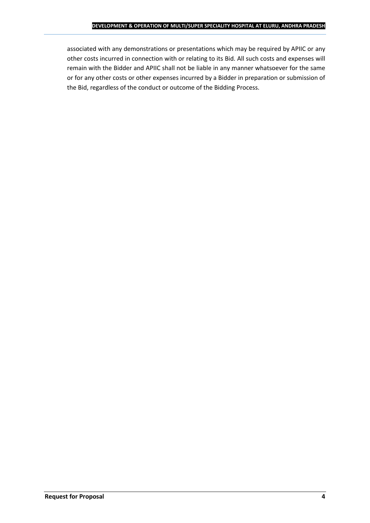associated with any demonstrations or presentations which may be required by APIIC or any other costs incurred in connection with or relating to its Bid. All such costs and expenses will remain with the Bidder and APIIC shall not be liable in any manner whatsoever for the same or for any other costs or other expenses incurred by a Bidder in preparation or submission of the Bid, regardless of the conduct or outcome of the Bidding Process.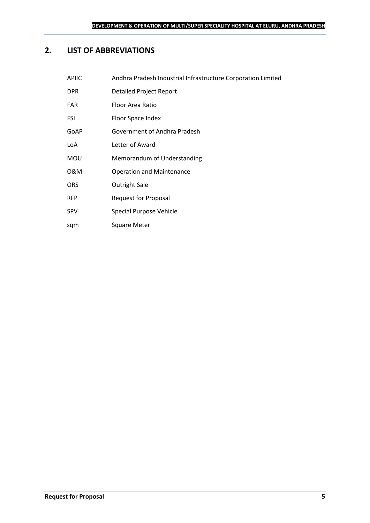## <span id="page-4-0"></span>**2. LIST OF ABBREVIATIONS**

| <b>APIIC</b> | Andhra Pradesh Industrial Infrastructure Corporation Limited |
|--------------|--------------------------------------------------------------|
| <b>DPR</b>   | <b>Detailed Project Report</b>                               |
| <b>FAR</b>   | Floor Area Ratio                                             |
| <b>FSI</b>   | Floor Space Index                                            |
| GoAP         | Government of Andhra Pradesh                                 |
| LoA          | Letter of Award                                              |
| <b>MOU</b>   | Memorandum of Understanding                                  |
| 0&M          | <b>Operation and Maintenance</b>                             |
| <b>ORS</b>   | <b>Outright Sale</b>                                         |
| <b>RFP</b>   | <b>Request for Proposal</b>                                  |
| <b>SPV</b>   | Special Purpose Vehicle                                      |
|              |                                                              |

sqm Square Meter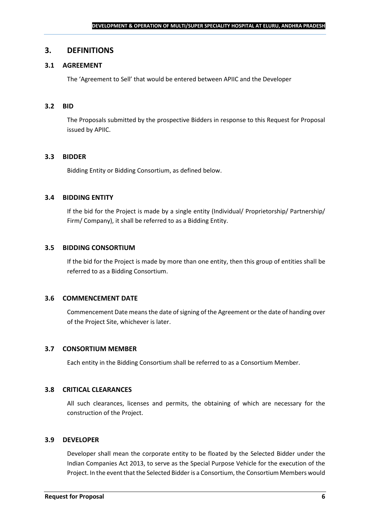#### <span id="page-5-0"></span>**3. DEFINITIONS**

## **3.1 AGREEMENT**

The 'Agreement to Sell' that would be entered between APIIC and the Developer

#### **3.2 BID**

The Proposals submitted by the prospective Bidders in response to this Request for Proposal issued by APIIC.

#### **3.3 BIDDER**

Bidding Entity or Bidding Consortium, as defined below.

#### **3.4 BIDDING ENTITY**

If the bid for the Project is made by a single entity (Individual/ Proprietorship/ Partnership/ Firm/ Company), it shall be referred to as a Bidding Entity.

#### **3.5 BIDDING CONSORTIUM**

If the bid for the Project is made by more than one entity, then this group of entities shall be referred to as a Bidding Consortium.

#### **3.6 COMMENCEMENT DATE**

Commencement Date means the date of signing of the Agreement or the date of handing over of the Project Site, whichever is later.

#### **3.7 CONSORTIUM MEMBER**

Each entity in the Bidding Consortium shall be referred to as a Consortium Member.

#### **3.8 CRITICAL CLEARANCES**

All such clearances, licenses and permits, the obtaining of which are necessary for the construction of the Project.

#### **3.9 DEVELOPER**

Developer shall mean the corporate entity to be floated by the Selected Bidder under the Indian Companies Act 2013, to serve as the Special Purpose Vehicle for the execution of the Project. In the event that the Selected Bidder is a Consortium, the Consortium Members would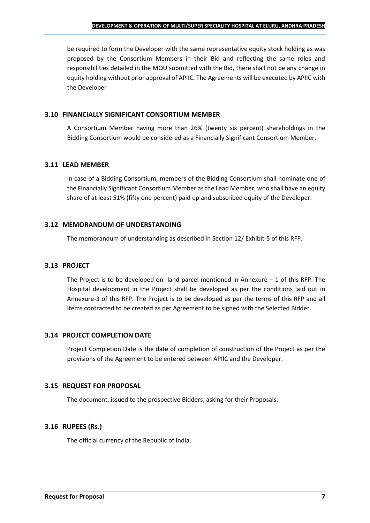be required to form the Developer with the same representative equity stock holding as was proposed by the Consortium Members in their Bid and reflecting the same roles and responsibilities detailed in the MOU submitted with the Bid, there shall not be any change in equity holding without prior approval of APIIC. The Agreements will be executed by APIIC with the Developer

#### **3.10 FINANCIALLY SIGNIFICANT CONSORTIUM MEMBER**

A Consortium Member having more than 26% (twenty six percent) shareholdings in the Bidding Consortium would be considered as a Financially Significant Consortium Member.

#### **3.11 LEAD MEMBER**

In case of a Bidding Consortium, members of the Bidding Consortium shall nominate one of the Financially Significant Consortium Member as the Lead Member, who shall have an equity share of at least 51% (fifty one percent) paid up and subscribed equity of the Developer.

#### **3.12 MEMORANDUM OF UNDERSTANDING**

The memorandum of understanding as described in Section 12/ Exhibit-5 of this RFP.

## **3.13 PROJECT**

The Project is to be developed on land parcel mentioned in Annexure  $-1$  of this RFP. The Hospital development in the Project shall be developed as per the conditions laid out in Annexure-3 of this RFP. The Project is to be developed as per the terms of this RFP and all items contracted to be created as per Agreement to be signed with the Selected Bidder.

## **3.14 PROJECT COMPLETION DATE**

Project Completion Date is the date of completion of construction of the Project as per the provisions of the Agreement to be entered between APIIC and the Developer.

## **3.15 REQUEST FOR PROPOSAL**

The document, issued to the prospective Bidders, asking for their Proposals.

## **3.16 RUPEES (Rs.)**

The official currency of the Republic of India.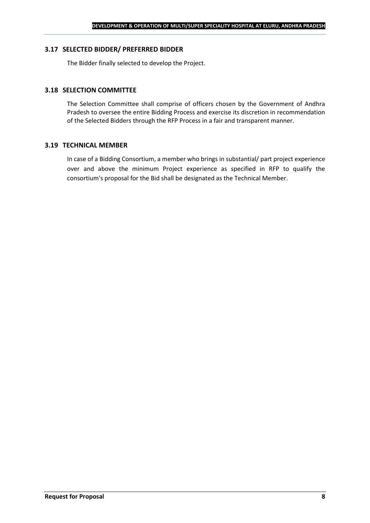#### **3.17 SELECTED BIDDER/ PREFERRED BIDDER**

The Bidder finally selected to develop the Project.

#### **3.18 SELECTION COMMITTEE**

The Selection Committee shall comprise of officers chosen by the Government of Andhra Pradesh to oversee the entire Bidding Process and exercise its discretion in recommendation of the Selected Bidders through the RFP Process in a fair and transparent manner.

#### **3.19 TECHNICAL MEMBER**

In case of a Bidding Consortium, a member who brings in substantial/ part project experience over and above the minimum Project experience as specified in RFP to qualify the consortium's proposal for the Bid shall be designated as the Technical Member.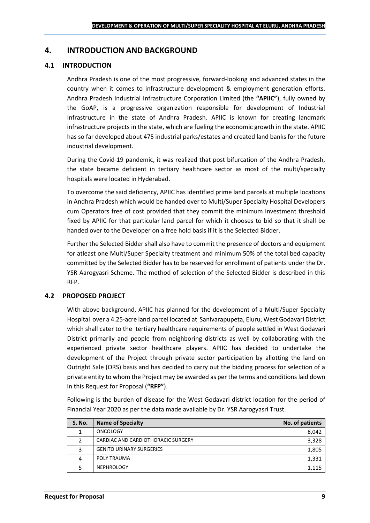## <span id="page-8-0"></span>**4. INTRODUCTION AND BACKGROUND**

#### **4.1 INTRODUCTION**

Andhra Pradesh is one of the most progressive, forward-looking and advanced states in the country when it comes to infrastructure development & employment generation efforts. Andhra Pradesh Industrial Infrastructure Corporation Limited (the **"APIIC"**), fully owned by the GoAP, is a progressive organization responsible for development of Industrial Infrastructure in the state of Andhra Pradesh. APIIC is known for creating landmark infrastructure projects in the state, which are fueling the economic growth in the state. APIIC has so far developed about 475 industrial parks/estates and created land banks for the future industrial development.

During the Covid-19 pandemic, it was realized that post bifurcation of the Andhra Pradesh, the state became deficient in tertiary healthcare sector as most of the multi/specialty hospitals were located in Hyderabad.

To overcome the said deficiency, APIIC has identified prime land parcels at multiple locations in Andhra Pradesh which would be handed over to Multi/Super Specialty Hospital Developers cum Operators free of cost provided that they commit the minimum investment threshold fixed by APIIC for that particular land parcel for which it chooses to bid so that it shall be handed over to the Developer on a free hold basis if it is the Selected Bidder.

Further the Selected Bidder shall also have to commit the presence of doctors and equipment for atleast one Multi/Super Specialty treatment and minimum 50% of the total bed capacity committed by the Selected Bidder has to be reserved for enrollment of patients under the Dr. YSR Aarogyasri Scheme. The method of selection of the Selected Bidder is described in this RFP.

#### **4.2 PROPOSED PROJECT**

With above background, APIIC has planned for the development of a Multi/Super Specialty Hospital over a 4.25-acre land parcel located at Sanivarapupeta, Eluru, West Godavari District which shall cater to the tertiary healthcare requirements of people settled in West Godavari District primarily and people from neighboring districts as well by collaborating with the experienced private sector healthcare players. APIIC has decided to undertake the development of the Project through private sector participation by allotting the land on Outright Sale (ORS) basis and has decided to carry out the bidding process for selection of a private entity to whom the Project may be awarded as per the terms and conditions laid down in this Request for Proposal (**"RFP"**).

Following is the burden of disease for the West Godavari district location for the period of Financial Year 2020 as per the data made available by Dr. YSR Aarogyasri Trust.

| <b>S. No.</b> | <b>Name of Specialty</b>           | No. of patients |
|---------------|------------------------------------|-----------------|
|               | <b>ONCOLOGY</b>                    | 8,042           |
|               | CARDIAC AND CARDIOTHORACIC SURGERY | 3,328           |
| 3             | <b>GENITO URINARY SURGERIES</b>    | 1,805           |
| 4             | POLY TRAUMA                        | 1,331           |
|               | <b>NEPHROLOGY</b>                  | 1.115           |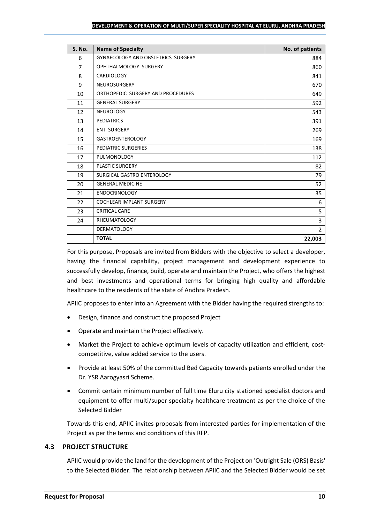| <b>S. No.</b>  | <b>Name of Specialty</b>           | No. of patients |
|----------------|------------------------------------|-----------------|
| 6              | GYNAECOLOGY AND OBSTETRICS SURGERY | 884             |
| $\overline{7}$ | OPHTHALMOLOGY SURGERY              | 860             |
| 8              | <b>CARDIOLOGY</b>                  | 841             |
| 9              | <b>NEUROSURGERY</b>                | 670             |
| 10             | ORTHOPEDIC SURGERY AND PROCEDURES  | 649             |
| 11             | <b>GENERAL SURGERY</b>             | 592             |
| 12             | <b>NEUROLOGY</b>                   | 543             |
| 13             | <b>PEDIATRICS</b>                  | 391             |
| 14             | <b>ENT SURGERY</b>                 | 269             |
| 15             | <b>GASTROENTEROLOGY</b>            | 169             |
| 16             | PEDIATRIC SURGERIES                | 138             |
| 17             | <b>PULMONOLOGY</b>                 | 112             |
| 18             | <b>PLASTIC SURGERY</b>             | 82              |
| 19             | SURGICAL GASTRO ENTEROLOGY         | 79              |
| 20             | <b>GENERAL MEDICINE</b>            | 52              |
| 21             | <b>ENDOCRINOLOGY</b>               | 35              |
| 22             | <b>COCHLEAR IMPLANT SURGERY</b>    | 6               |
| 23             | CRITICAL CARE                      | 5               |
| 24             | <b>RHEUMATOLOGY</b>                | 3               |
|                | <b>DERMATOLOGY</b>                 | $\overline{2}$  |
|                | <b>TOTAL</b>                       | 22,003          |

For this purpose, Proposals are invited from Bidders with the objective to select a developer, having the financial capability, project management and development experience to successfully develop, finance, build, operate and maintain the Project, who offers the highest and best investments and operational terms for bringing high quality and affordable healthcare to the residents of the state of Andhra Pradesh.

APIIC proposes to enter into an Agreement with the Bidder having the required strengths to:

- Design, finance and construct the proposed Project
- Operate and maintain the Project effectively.
- Market the Project to achieve optimum levels of capacity utilization and efficient, costcompetitive, value added service to the users.
- Provide at least 50% of the committed Bed Capacity towards patients enrolled under the Dr. YSR Aarogyasri Scheme.
- Commit certain minimum number of full time Eluru city stationed specialist doctors and equipment to offer multi/super specialty healthcare treatment as per the choice of the Selected Bidder

Towards this end, APIIC invites proposals from interested parties for implementation of the Project as per the terms and conditions of this RFP.

## **4.3 PROJECT STRUCTURE**

APIIC would provide the land for the development of the Project on 'Outright Sale (ORS) Basis' to the Selected Bidder. The relationship between APIIC and the Selected Bidder would be set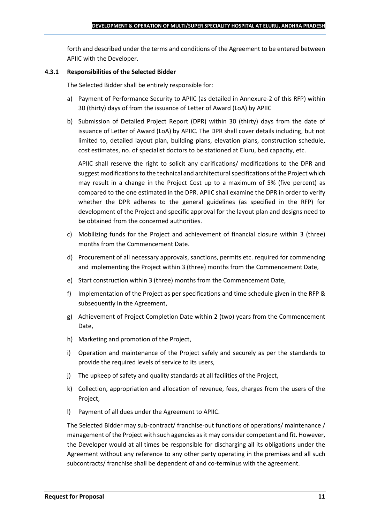forth and described under the terms and conditions of the Agreement to be entered between APIIC with the Developer.

#### **4.3.1 Responsibilities of the Selected Bidder**

The Selected Bidder shall be entirely responsible for:

- a) Payment of Performance Security to APIIC (as detailed in Annexure-2 of this RFP) within 30 (thirty) days of from the issuance of Letter of Award (LoA) by APIIC
- b) Submission of Detailed Project Report (DPR) within 30 (thirty) days from the date of issuance of Letter of Award (LoA) by APIIC. The DPR shall cover details including, but not limited to, detailed layout plan, building plans, elevation plans, construction schedule, cost estimates, no. of specialist doctors to be stationed at Eluru, bed capacity, etc.

APIIC shall reserve the right to solicit any clarifications/ modifications to the DPR and suggest modifications to the technical and architectural specifications of the Project which may result in a change in the Project Cost up to a maximum of 5% (five percent) as compared to the one estimated in the DPR. APIIC shall examine the DPR in order to verify whether the DPR adheres to the general guidelines (as specified in the RFP) for development of the Project and specific approval for the layout plan and designs need to be obtained from the concerned authorities.

- c) Mobilizing funds for the Project and achievement of financial closure within 3 (three) months from the Commencement Date.
- d) Procurement of all necessary approvals, sanctions, permits etc. required for commencing and implementing the Project within 3 (three) months from the Commencement Date,
- e) Start construction within 3 (three) months from the Commencement Date,
- f) Implementation of the Project as per specifications and time schedule given in the RFP & subsequently in the Agreement,
- g) Achievement of Project Completion Date within 2 (two) years from the Commencement Date,
- h) Marketing and promotion of the Project,
- i) Operation and maintenance of the Project safely and securely as per the standards to provide the required levels of service to its users,
- j) The upkeep of safety and quality standards at all facilities of the Project,
- k) Collection, appropriation and allocation of revenue, fees, charges from the users of the Project,
- l) Payment of all dues under the Agreement to APIIC.

The Selected Bidder may sub-contract/ franchise-out functions of operations/ maintenance / management of the Project with such agencies as it may consider competent and fit. However, the Developer would at all times be responsible for discharging all its obligations under the Agreement without any reference to any other party operating in the premises and all such subcontracts/ franchise shall be dependent of and co-terminus with the agreement.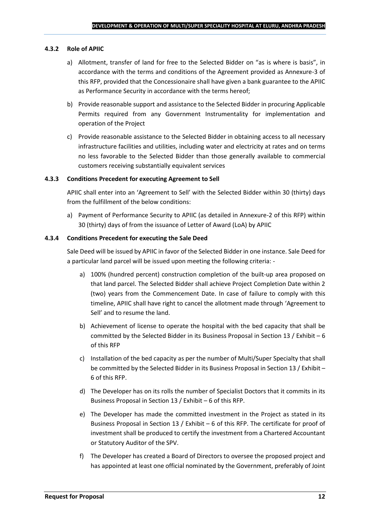#### **4.3.2 Role of APIIC**

- a) Allotment, transfer of land for free to the Selected Bidder on "as is where is basis", in accordance with the terms and conditions of the Agreement provided as Annexure-3 of this RFP, provided that the Concessionaire shall have given a bank guarantee to the APIIC as Performance Security in accordance with the terms hereof;
- b) Provide reasonable support and assistance to the Selected Bidder in procuring Applicable Permits required from any Government Instrumentality for implementation and operation of the Project
- c) Provide reasonable assistance to the Selected Bidder in obtaining access to all necessary infrastructure facilities and utilities, including water and electricity at rates and on terms no less favorable to the Selected Bidder than those generally available to commercial customers receiving substantially equivalent services

#### **4.3.3 Conditions Precedent for executing Agreement to Sell**

APIIC shall enter into an 'Agreement to Sell' with the Selected Bidder within 30 (thirty) days from the fulfillment of the below conditions:

a) Payment of Performance Security to APIIC (as detailed in Annexure-2 of this RFP) within 30 (thirty) days of from the issuance of Letter of Award (LoA) by APIIC

#### **4.3.4 Conditions Precedent for executing the Sale Deed**

Sale Deed will be issued by APIIC in favor of the Selected Bidder in one instance. Sale Deed for a particular land parcel will be issued upon meeting the following criteria: -

- a) 100% (hundred percent) construction completion of the built-up area proposed on that land parcel. The Selected Bidder shall achieve Project Completion Date within 2 (two) years from the Commencement Date. In case of failure to comply with this timeline, APIIC shall have right to cancel the allotment made through 'Agreement to Sell' and to resume the land.
- b) Achievement of license to operate the hospital with the bed capacity that shall be committed by the Selected Bidder in its Business Proposal in Section 13 / Exhibit – 6 of this RFP
- c) Installation of the bed capacity as per the number of Multi/Super Specialty that shall be committed by the Selected Bidder in its Business Proposal in Section 13 / Exhibit – 6 of this RFP.
- d) The Developer has on its rolls the number of Specialist Doctors that it commits in its Business Proposal in Section 13 / Exhibit – 6 of this RFP.
- e) The Developer has made the committed investment in the Project as stated in its Business Proposal in Section 13 / Exhibit – 6 of this RFP. The certificate for proof of investment shall be produced to certify the investment from a Chartered Accountant or Statutory Auditor of the SPV.
- f) The Developer has created a Board of Directors to oversee the proposed project and has appointed at least one official nominated by the Government, preferably of Joint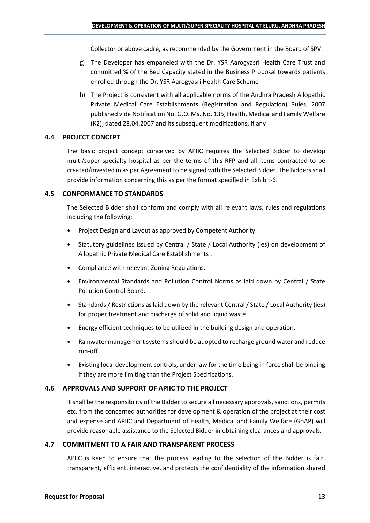Collector or above cadre, as recommended by the Government in the Board of SPV.

- g) The Developer has empaneled with the Dr. YSR Aarogyasri Health Care Trust and committed % of the Bed Capacity stated in the Business Proposal towards patients enrolled through the Dr. YSR Aarogyasri Health Care Scheme
- h) The Project is consistent with all applicable norms of the Andhra Pradesh Allopathic Private Medical Care Establishments (Registration and Regulation) Rules, 2007 published vide Notification No. G.O. Ms. No. 135, Health, Medical and Family Welfare (K2), dated 28.04.2007 and its subsequent modifications, if any

## **4.4 PROJECT CONCEPT**

The basic project concept conceived by APIIC requires the Selected Bidder to develop multi/super specialty hospital as per the terms of this RFP and all items contracted to be created/invested in as per Agreement to be signed with the Selected Bidder. The Bidders shall provide information concerning this as per the format specified in Exhibit-6.

#### **4.5 CONFORMANCE TO STANDARDS**

The Selected Bidder shall conform and comply with all relevant laws, rules and regulations including the following:

- Project Design and Layout as approved by Competent Authority.
- Statutory guidelines issued by Central / State / Local Authority (ies) on development of Allopathic Private Medical Care Establishments .
- Compliance with relevant Zoning Regulations.
- Environmental Standards and Pollution Control Norms as laid down by Central / State Pollution Control Board.
- Standards / Restrictions as laid down by the relevant Central / State / Local Authority (ies) for proper treatment and discharge of solid and liquid waste.
- Energy efficient techniques to be utilized in the building design and operation.
- Rainwater management systems should be adopted to recharge ground water and reduce run-off.
- Existing local development controls, under law for the time being in force shall be binding if they are more limiting than the Project Specifications.

## **4.6 APPROVALS AND SUPPORT OF APIIC TO THE PROJECT**

It shall be the responsibility of the Bidder to secure all necessary approvals, sanctions, permits etc. from the concerned authorities for development & operation of the project at their cost and expense and APIIC and Department of Health, Medical and Family Welfare (GoAP) will provide reasonable assistance to the Selected Bidder in obtaining clearances and approvals.

#### **4.7 COMMITMENT TO A FAIR AND TRANSPARENT PROCESS**

APIIC is keen to ensure that the process leading to the selection of the Bidder is fair, transparent, efficient, interactive, and protects the confidentiality of the information shared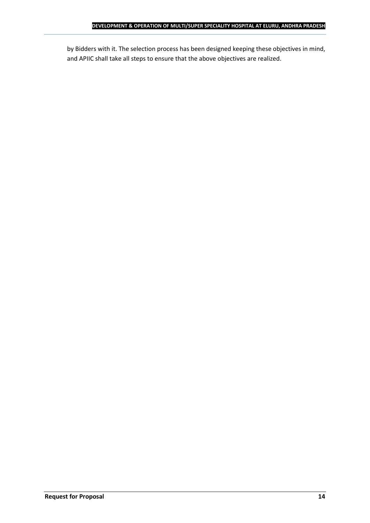by Bidders with it. The selection process has been designed keeping these objectives in mind, and APIIC shall take all steps to ensure that the above objectives are realized.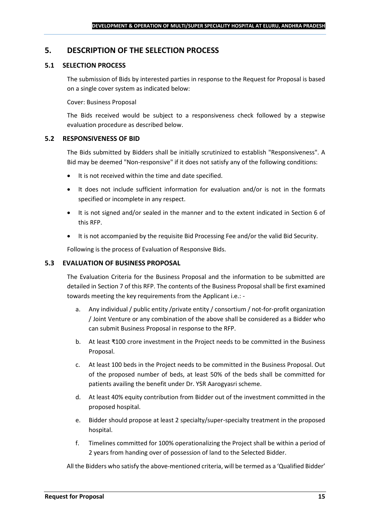## <span id="page-14-0"></span>**5. DESCRIPTION OF THE SELECTION PROCESS**

## **5.1 SELECTION PROCESS**

The submission of Bids by interested parties in response to the Request for Proposal is based on a single cover system as indicated below:

#### Cover: Business Proposal

The Bids received would be subject to a responsiveness check followed by a stepwise evaluation procedure as described below.

#### **5.2 RESPONSIVENESS OF BID**

The Bids submitted by Bidders shall be initially scrutinized to establish "Responsiveness". A Bid may be deemed "Non-responsive" if it does not satisfy any of the following conditions:

- It is not received within the time and date specified.
- It does not include sufficient information for evaluation and/or is not in the formats specified or incomplete in any respect.
- It is not signed and/or sealed in the manner and to the extent indicated in Section 6 of this RFP.
- It is not accompanied by the requisite Bid Processing Fee and/or the valid Bid Security.

Following is the process of Evaluation of Responsive Bids.

## **5.3 EVALUATION OF BUSINESS PROPOSAL**

The Evaluation Criteria for the Business Proposal and the information to be submitted are detailed in Section 7 of this RFP. The contents of the Business Proposal shall be first examined towards meeting the key requirements from the Applicant i.e.: -

- a. Any individual / public entity / private entity / consortium / not-for-profit organization / Joint Venture or any combination of the above shall be considered as a Bidder who can submit Business Proposal in response to the RFP.
- b. At least ₹100 crore investment in the Project needs to be committed in the Business Proposal.
- c. At least 100 beds in the Project needs to be committed in the Business Proposal. Out of the proposed number of beds, at least 50% of the beds shall be committed for patients availing the benefit under Dr. YSR Aarogyasri scheme.
- d. At least 40% equity contribution from Bidder out of the investment committed in the proposed hospital.
- e. Bidder should propose at least 2 specialty/super-specialty treatment in the proposed hospital.
- f. Timelines committed for 100% operationalizing the Project shall be within a period of 2 years from handing over of possession of land to the Selected Bidder.

All the Bidders who satisfy the above-mentioned criteria, will be termed as a 'Qualified Bidder'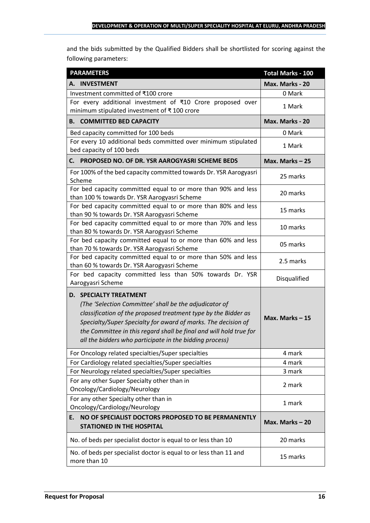and the bids submitted by the Qualified Bidders shall be shortlisted for scoring against the following parameters:

| <b>PARAMETERS</b>                                                                                                                                                                                                                                                                                                                                           | <b>Total Marks - 100</b> |
|-------------------------------------------------------------------------------------------------------------------------------------------------------------------------------------------------------------------------------------------------------------------------------------------------------------------------------------------------------------|--------------------------|
| A. INVESTMENT                                                                                                                                                                                                                                                                                                                                               | Max. Marks - 20          |
| Investment committed of ₹100 crore                                                                                                                                                                                                                                                                                                                          | 0 Mark                   |
| For every additional investment of ₹10 Crore proposed over<br>minimum stipulated investment of ₹100 crore                                                                                                                                                                                                                                                   | 1 Mark                   |
| <b>B. COMMITTED BED CAPACITY</b>                                                                                                                                                                                                                                                                                                                            | Max. Marks - 20          |
| Bed capacity committed for 100 beds                                                                                                                                                                                                                                                                                                                         | 0 Mark                   |
| For every 10 additional beds committed over minimum stipulated<br>bed capacity of 100 beds                                                                                                                                                                                                                                                                  | 1 Mark                   |
| PROPOSED NO. OF DR. YSR AAROGYASRI SCHEME BEDS<br>С. —                                                                                                                                                                                                                                                                                                      | Max. Marks-25            |
| For 100% of the bed capacity committed towards Dr. YSR Aarogyasri<br>Scheme                                                                                                                                                                                                                                                                                 | 25 marks                 |
| For bed capacity committed equal to or more than 90% and less<br>than 100 % towards Dr. YSR Aarogyasri Scheme                                                                                                                                                                                                                                               | 20 marks                 |
| For bed capacity committed equal to or more than 80% and less<br>than 90 % towards Dr. YSR Aarogyasri Scheme                                                                                                                                                                                                                                                | 15 marks                 |
| For bed capacity committed equal to or more than 70% and less<br>than 80 % towards Dr. YSR Aarogyasri Scheme                                                                                                                                                                                                                                                | 10 marks                 |
| For bed capacity committed equal to or more than 60% and less<br>than 70 % towards Dr. YSR Aarogyasri Scheme                                                                                                                                                                                                                                                | 05 marks                 |
| For bed capacity committed equal to or more than 50% and less<br>than 60 % towards Dr. YSR Aarogyasri Scheme                                                                                                                                                                                                                                                | 2.5 marks                |
| For bed capacity committed less than 50% towards Dr. YSR<br>Aarogyasri Scheme                                                                                                                                                                                                                                                                               | Disqualified             |
| <b>D. SPECIALTY TREATMENT</b><br>(The 'Selection Committee' shall be the adjudicator of<br>classification of the proposed treatment type by the Bidder as<br>Specialty/Super Specialty for award of marks. The decision of<br>the Committee in this regard shall be final and will hold true for<br>all the bidders who participate in the bidding process) | Max. Marks-15            |
| For Oncology related specialties/Super specialties                                                                                                                                                                                                                                                                                                          | 4 mark                   |
| For Cardiology related specialties/Super specialties                                                                                                                                                                                                                                                                                                        | 4 mark                   |
| For Neurology related specialties/Super specialties                                                                                                                                                                                                                                                                                                         | 3 mark                   |
| For any other Super Specialty other than in<br>Oncology/Cardiology/Neurology                                                                                                                                                                                                                                                                                | 2 mark                   |
| For any other Specialty other than in<br>Oncology/Cardiology/Neurology                                                                                                                                                                                                                                                                                      | 1 mark                   |
| NO OF SPECIALIST DOCTORS PROPOSED TO BE PERMANENTLY<br>E.<br><b>STATIONED IN THE HOSPITAL</b>                                                                                                                                                                                                                                                               | Max. Marks - 20          |
| No. of beds per specialist doctor is equal to or less than 10                                                                                                                                                                                                                                                                                               | 20 marks                 |
| No. of beds per specialist doctor is equal to or less than 11 and<br>more than 10                                                                                                                                                                                                                                                                           | 15 marks                 |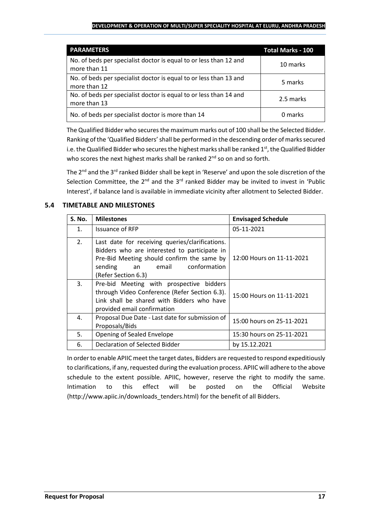| <b>PARAMETERS</b>                                                                 | <b>Total Marks - 100</b> |
|-----------------------------------------------------------------------------------|--------------------------|
| No. of beds per specialist doctor is equal to or less than 12 and<br>more than 11 | 10 marks                 |
| No. of beds per specialist doctor is equal to or less than 13 and<br>more than 12 | 5 marks                  |
| No. of beds per specialist doctor is equal to or less than 14 and<br>more than 13 | 2.5 marks                |
| No. of beds per specialist doctor is more than 14                                 | 0 marks                  |

The Qualified Bidder who securesthe maximum marks out of 100 shall be the Selected Bidder. Ranking of the 'Qualified Bidders'shall be performed in the descending order of marks secured i.e. the Qualified Bidder who secures the highest marks shall be ranked  $1<sup>st</sup>$ , the Qualified Bidder who scores the next highest marks shall be ranked  $2^{nd}$  so on and so forth.

The 2<sup>nd</sup> and the 3<sup>rd</sup> ranked Bidder shall be kept in 'Reserve' and upon the sole discretion of the Selection Committee, the  $2^{nd}$  and the  $3^{rd}$  ranked Bidder may be invited to invest in 'Public Interest', if balance land is available in immediate vicinity after allotment to Selected Bidder.

## **5.4 TIMETABLE AND MILESTONES**

| <b>S. No.</b>  | <b>Milestones</b>                                                                                                                                                                                              | <b>Envisaged Schedule</b> |
|----------------|----------------------------------------------------------------------------------------------------------------------------------------------------------------------------------------------------------------|---------------------------|
| $\mathbf{1}$ . | <b>Issuance of RFP</b>                                                                                                                                                                                         | 05-11-2021                |
| 2.             | Last date for receiving queries/clarifications.<br>Bidders who are interested to participate in<br>Pre-Bid Meeting should confirm the same by<br>conformation<br>sending<br>email<br>an<br>(Refer Section 6.3) | 12:00 Hours on 11-11-2021 |
| 3.             | Pre-bid Meeting with prospective bidders<br>through Video Conference (Refer Section 6.3).<br>Link shall be shared with Bidders who have<br>provided email confirmation                                         | 15:00 Hours on 11-11-2021 |
| 4.             | Proposal Due Date - Last date for submission of<br>Proposals/Bids                                                                                                                                              | 15:00 hours on 25-11-2021 |
| 5.             | Opening of Sealed Envelope                                                                                                                                                                                     | 15:30 hours on 25-11-2021 |
| 6.             | Declaration of Selected Bidder                                                                                                                                                                                 | by 15.12.2021             |

In order to enable APIIC meet the target dates, Bidders are requested to respond expeditiously to clarifications, if any, requested during the evaluation process. APIIC will adhere to the above schedule to the extent possible. APIIC, however, reserve the right to modify the same. Intimation to this effect will be posted on the Official Website (http://www.apiic.in/downloads\_tenders.html) for the benefit of all Bidders.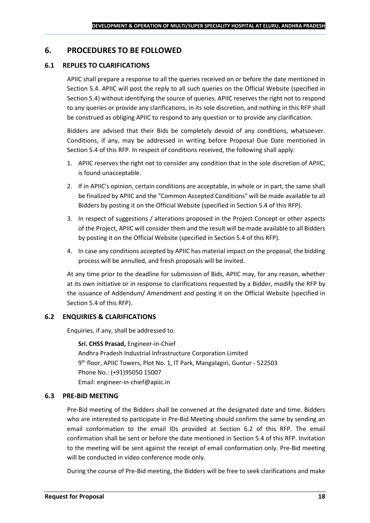## <span id="page-17-0"></span>**6. PROCEDURES TO BE FOLLOWED**

## **6.1 REPLIES TO CLARIFICATIONS**

APIIC shall prepare a response to all the queries received on or before the date mentioned in Section 5.4. APIIC will post the reply to all such queries on the Official Website (specified in Section 5.4) without identifying the source of queries. APIIC reserves the right not to respond to any queries or provide any clarifications, in its sole discretion, and nothing in this RFP shall be construed as obliging APIIC to respond to any question or to provide any clarification.

Bidders are advised that their Bids be completely devoid of any conditions, whatsoever. Conditions, if any, may be addressed in writing before Proposal Due Date mentioned in Section 5.4 of this RFP. In respect of conditions received, the following shall apply:

- 1. APIIC reserves the right not to consider any condition that in the sole discretion of APIIC, is found unacceptable.
- 2. If in APIIC's opinion, certain conditions are acceptable, in whole or in part, the same shall be finalized by APIIC and the "Common Accepted Conditions" will be made available to all Bidders by posting it on the Official Website (specified in Section 5.4 of this RFP).
- 3. In respect of suggestions / alterations proposed in the Project Concept or other aspects of the Project, APIIC will consider them and the result will be made available to all Bidders by posting it on the Official Website (specified in Section 5.4 of this RFP).
- 4. In case any conditions accepted by APIIC has material impact on the proposal, the bidding process will be annulled, and fresh proposals will be invited.

At any time prior to the deadline for submission of Bids, APIIC may, for any reason, whether at its own initiative or in response to clarifications requested by a Bidder, modify the RFP by the issuance of Addendum/ Amendment and posting it on the Official Website (specified in Section 5.4 of this RFP).

## **6.2 ENQUIRIES & CLARIFICATIONS**

Enquiries, if any, shall be addressed to:

**Sri. CHSS Prasad,** Engineer-in-Chief Andhra Pradesh Industrial Infrastructure Corporation Limited 9 th floor, APIIC Towers, Plot No. 1, IT Park, Mangalagiri, Guntur - 522503 Phone No.: (+91)95050 15007 Email: engineer-in-chief@apiic.in

## **6.3 PRE-BID MEETING**

Pre-Bid meeting of the Bidders shall be convened at the designated date and time. Bidders who are interested to participate in Pre-Bid Meeting should confirm the same by sending an email conformation to the email IDs provided at Section 6.2 of this RFP. The email confirmation shall be sent or before the date mentioned in Section 5.4 of this RFP. Invitation to the meeting will be sent against the receipt of email conformation only. Pre-Bid meeting will be conducted in video conference mode only.

During the course of Pre-Bid meeting, the Bidders will be free to seek clarifications and make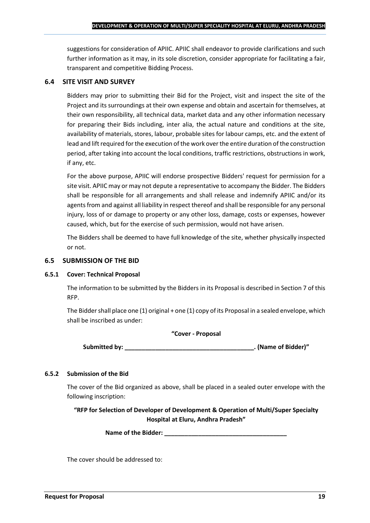suggestions for consideration of APIIC. APIIC shall endeavor to provide clarifications and such further information as it may, in its sole discretion, consider appropriate for facilitating a fair, transparent and competitive Bidding Process.

#### **6.4 SITE VISIT AND SURVEY**

Bidders may prior to submitting their Bid for the Project, visit and inspect the site of the Project and its surroundings at their own expense and obtain and ascertain for themselves, at their own responsibility, all technical data, market data and any other information necessary for preparing their Bids including, inter alia, the actual nature and conditions at the site, availability of materials, stores, labour, probable sites for labour camps, etc. and the extent of lead and lift required for the execution of the work over the entire duration of the construction period, after taking into account the local conditions, traffic restrictions, obstructions in work, if any, etc.

For the above purpose, APIIC will endorse prospective Bidders' request for permission for a site visit. APIIC may or may not depute a representative to accompany the Bidder. The Bidders shall be responsible for all arrangements and shall release and indemnify APIIC and/or its agents from and against all liability in respect thereof and shall be responsible for any personal injury, loss of or damage to property or any other loss, damage, costs or expenses, however caused, which, but for the exercise of such permission, would not have arisen.

The Bidders shall be deemed to have full knowledge of the site, whether physically inspected or not.

#### **6.5 SUBMISSION OF THE BID**

#### **6.5.1 Cover: Technical Proposal**

The information to be submitted by the Bidders in its Proposal is described in Section 7 of this RFP.

The Bidder shall place one (1) original + one (1) copy of its Proposal in a sealed envelope, which shall be inscribed as under:

#### **"Cover - Proposal**

**Submitted by: \_\_\_\_\_\_\_\_\_\_\_\_\_\_\_\_\_\_\_\_\_\_\_\_\_\_\_\_\_\_\_\_\_\_\_\_\_\_. (Name of Bidder)"**

#### **6.5.2 Submission of the Bid**

The cover of the Bid organized as above, shall be placed in a sealed outer envelope with the following inscription:

**"RFP for Selection of Developer of Development & Operation of Multi/Super Specialty Hospital at Eluru, Andhra Pradesh"**

Name of the Bidder: **We are also assumed to the Bidder:** 

The cover should be addressed to: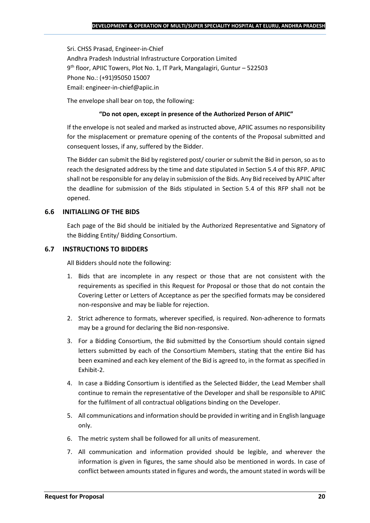Sri. CHSS Prasad, Engineer-in-Chief Andhra Pradesh Industrial Infrastructure Corporation Limited 9 th floor, APIIC Towers, Plot No. 1, IT Park, Mangalagiri, Guntur – 522503 Phone No.: (+91)95050 15007 Email: engineer-in-chief@apiic.in

The envelope shall bear on top, the following:

#### **"Do not open, except in presence of the Authorized Person of APIIC"**

If the envelope is not sealed and marked as instructed above, APIIC assumes no responsibility for the misplacement or premature opening of the contents of the Proposal submitted and consequent losses, if any, suffered by the Bidder.

The Bidder can submit the Bid by registered post/ courier or submit the Bid in person, so as to reach the designated address by the time and date stipulated in Section 5.4 of this RFP. APIIC shall not be responsible for any delay in submission of the Bids. Any Bid received by APIIC after the deadline for submission of the Bids stipulated in Section 5.4 of this RFP shall not be opened.

## **6.6 INITIALLING OF THE BIDS**

Each page of the Bid should be initialed by the Authorized Representative and Signatory of the Bidding Entity/ Bidding Consortium.

#### **6.7 INSTRUCTIONS TO BIDDERS**

All Bidders should note the following:

- 1. Bids that are incomplete in any respect or those that are not consistent with the requirements as specified in this Request for Proposal or those that do not contain the Covering Letter or Letters of Acceptance as per the specified formats may be considered non-responsive and may be liable for rejection.
- 2. Strict adherence to formats, wherever specified, is required. Non-adherence to formats may be a ground for declaring the Bid non-responsive.
- 3. For a Bidding Consortium, the Bid submitted by the Consortium should contain signed letters submitted by each of the Consortium Members, stating that the entire Bid has been examined and each key element of the Bid is agreed to, in the format as specified in Exhibit-2.
- 4. In case a Bidding Consortium is identified as the Selected Bidder, the Lead Member shall continue to remain the representative of the Developer and shall be responsible to APIIC for the fulfilment of all contractual obligations binding on the Developer.
- 5. All communications and information should be provided in writing and in English language only.
- 6. The metric system shall be followed for all units of measurement.
- 7. All communication and information provided should be legible, and wherever the information is given in figures, the same should also be mentioned in words. In case of conflict between amounts stated in figures and words, the amount stated in words will be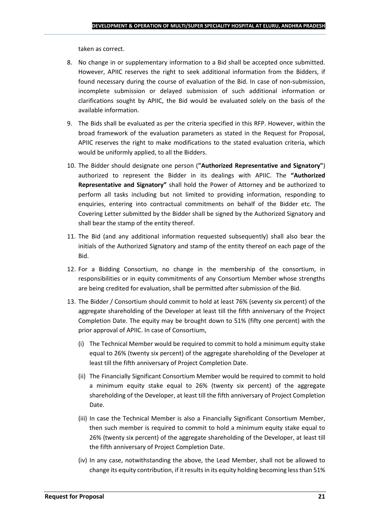taken as correct.

- 8. No change in or supplementary information to a Bid shall be accepted once submitted. However, APIIC reserves the right to seek additional information from the Bidders, if found necessary during the course of evaluation of the Bid. In case of non-submission, incomplete submission or delayed submission of such additional information or clarifications sought by APIIC, the Bid would be evaluated solely on the basis of the available information.
- 9. The Bids shall be evaluated as per the criteria specified in this RFP. However, within the broad framework of the evaluation parameters as stated in the Request for Proposal, APIIC reserves the right to make modifications to the stated evaluation criteria, which would be uniformly applied, to all the Bidders.
- 10. The Bidder should designate one person (**"Authorized Representative and Signatory"**) authorized to represent the Bidder in its dealings with APIIC. The **"Authorized Representative and Signatory"** shall hold the Power of Attorney and be authorized to perform all tasks including but not limited to providing information, responding to enquiries, entering into contractual commitments on behalf of the Bidder etc. The Covering Letter submitted by the Bidder shall be signed by the Authorized Signatory and shall bear the stamp of the entity thereof.
- 11. The Bid (and any additional information requested subsequently) shall also bear the initials of the Authorized Signatory and stamp of the entity thereof on each page of the Bid.
- 12. For a Bidding Consortium, no change in the membership of the consortium, in responsibilities or in equity commitments of any Consortium Member whose strengths are being credited for evaluation, shall be permitted after submission of the Bid.
- 13. The Bidder / Consortium should commit to hold at least 76% (seventy six percent) of the aggregate shareholding of the Developer at least till the fifth anniversary of the Project Completion Date. The equity may be brought down to 51% (fifty one percent) with the prior approval of APIIC. In case of Consortium,
	- (i) The Technical Member would be required to commit to hold a minimum equity stake equal to 26% (twenty six percent) of the aggregate shareholding of the Developer at least till the fifth anniversary of Project Completion Date.
	- (ii) The Financially Significant Consortium Member would be required to commit to hold a minimum equity stake equal to 26% (twenty six percent) of the aggregate shareholding of the Developer, at least till the fifth anniversary of Project Completion Date.
	- (iii) In case the Technical Member is also a Financially Significant Consortium Member, then such member is required to commit to hold a minimum equity stake equal to 26% (twenty six percent) of the aggregate shareholding of the Developer, at least till the fifth anniversary of Project Completion Date.
	- (iv) In any case, notwithstanding the above, the Lead Member, shall not be allowed to change its equity contribution, if it results in its equity holding becoming less than 51%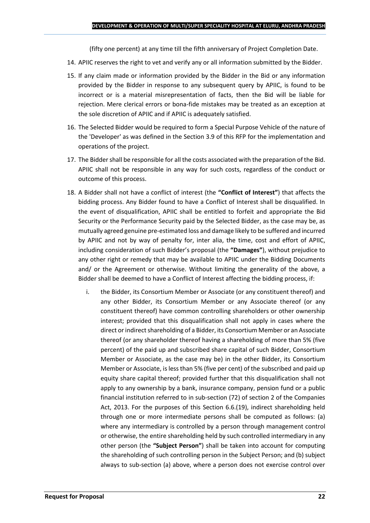(fifty one percent) at any time till the fifth anniversary of Project Completion Date.

- 14. APIIC reserves the right to vet and verify any or all information submitted by the Bidder.
- 15. If any claim made or information provided by the Bidder in the Bid or any information provided by the Bidder in response to any subsequent query by APIIC, is found to be incorrect or is a material misrepresentation of facts, then the Bid will be liable for rejection. Mere clerical errors or bona-fide mistakes may be treated as an exception at the sole discretion of APIIC and if APIIC is adequately satisfied.
- 16. The Selected Bidder would be required to form a Special Purpose Vehicle of the nature of the 'Developer' as was defined in the Section 3.9 of this RFP for the implementation and operations of the project.
- 17. The Bidder shall be responsible for all the costs associated with the preparation of the Bid. APIIC shall not be responsible in any way for such costs, regardless of the conduct or outcome of this process.
- 18. A Bidder shall not have a conflict of interest (the **"Conflict of Interest"**) that affects the bidding process. Any Bidder found to have a Conflict of Interest shall be disqualified. In the event of disqualification, APIIC shall be entitled to forfeit and appropriate the Bid Security or the Performance Security paid by the Selected Bidder, as the case may be, as mutually agreed genuine pre-estimated loss and damage likely to be suffered and incurred by APIIC and not by way of penalty for, inter alia, the time, cost and effort of APIIC, including consideration of such Bidder's proposal (the **"Damages"**), without prejudice to any other right or remedy that may be available to APIIC under the Bidding Documents and/ or the Agreement or otherwise. Without limiting the generality of the above, a Bidder shall be deemed to have a Conflict of Interest affecting the bidding process, if:
	- i. the Bidder, its Consortium Member or Associate (or any constituent thereof) and any other Bidder, its Consortium Member or any Associate thereof (or any constituent thereof) have common controlling shareholders or other ownership interest; provided that this disqualification shall not apply in cases where the direct or indirect shareholding of a Bidder, its Consortium Member or an Associate thereof (or any shareholder thereof having a shareholding of more than 5% (five percent) of the paid up and subscribed share capital of such Bidder, Consortium Member or Associate, as the case may be) in the other Bidder, its Consortium Member or Associate, is less than 5% (five per cent) of the subscribed and paid up equity share capital thereof; provided further that this disqualification shall not apply to any ownership by a bank, insurance company, pension fund or a public financial institution referred to in sub-section (72) of section 2 of the Companies Act, 2013. For the purposes of this Section 6.6.(19), indirect shareholding held through one or more intermediate persons shall be computed as follows: (a) where any intermediary is controlled by a person through management control or otherwise, the entire shareholding held by such controlled intermediary in any other person (the **"Subject Person"**) shall be taken into account for computing the shareholding of such controlling person in the Subject Person; and (b) subject always to sub-section (a) above, where a person does not exercise control over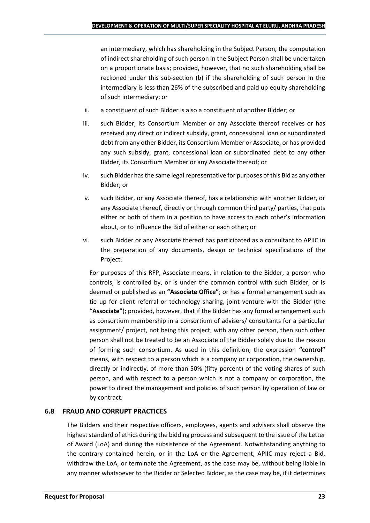an intermediary, which has shareholding in the Subject Person, the computation of indirect shareholding of such person in the Subject Person shall be undertaken on a proportionate basis; provided, however, that no such shareholding shall be reckoned under this sub-section (b) if the shareholding of such person in the intermediary is less than 26% of the subscribed and paid up equity shareholding of such intermediary; or

- ii. a constituent of such Bidder is also a constituent of another Bidder; or
- iii. such Bidder, its Consortium Member or any Associate thereof receives or has received any direct or indirect subsidy, grant, concessional loan or subordinated debt from any other Bidder, its Consortium Member or Associate, or has provided any such subsidy, grant, concessional loan or subordinated debt to any other Bidder, its Consortium Member or any Associate thereof; or
- iv. such Bidder has the same legal representative for purposes of this Bid as any other Bidder; or
- v. such Bidder, or any Associate thereof, has a relationship with another Bidder, or any Associate thereof, directly or through common third party/ parties, that puts either or both of them in a position to have access to each other's information about, or to influence the Bid of either or each other; or
- vi. such Bidder or any Associate thereof has participated as a consultant to APIIC in the preparation of any documents, design or technical specifications of the Project.

For purposes of this RFP, Associate means, in relation to the Bidder, a person who controls, is controlled by, or is under the common control with such Bidder, or is deemed or published as an **"Associate Office"**; or has a formal arrangement such as tie up for client referral or technology sharing, joint venture with the Bidder (the **"Associate"**); provided, however, that if the Bidder has any formal arrangement such as consortium membership in a consortium of advisers/ consultants for a particular assignment/ project, not being this project, with any other person, then such other person shall not be treated to be an Associate of the Bidder solely due to the reason of forming such consortium. As used in this definition, the expression **"control"**  means, with respect to a person which is a company or corporation, the ownership, directly or indirectly, of more than 50% (fifty percent) of the voting shares of such person, and with respect to a person which is not a company or corporation, the power to direct the management and policies of such person by operation of law or by contract.

## **6.8 FRAUD AND CORRUPT PRACTICES**

The Bidders and their respective officers, employees, agents and advisers shall observe the highest standard of ethics during the bidding process and subsequent to the issue of the Letter of Award (LoA) and during the subsistence of the Agreement. Notwithstanding anything to the contrary contained herein, or in the LoA or the Agreement, APIIC may reject a Bid, withdraw the LoA, or terminate the Agreement, as the case may be, without being liable in any manner whatsoever to the Bidder or Selected Bidder, as the case may be, if it determines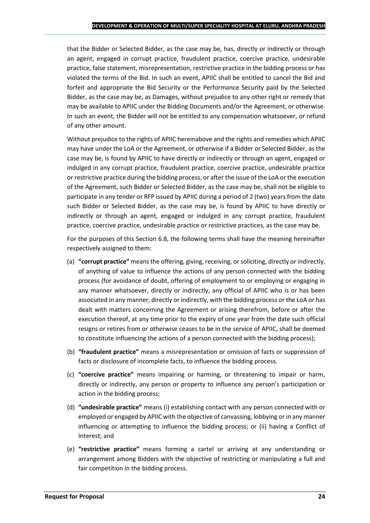that the Bidder or Selected Bidder, as the case may be, has, directly or indirectly or through an agent, engaged in corrupt practice, fraudulent practice, coercive practice, undesirable practice, false statement, misrepresentation, restrictive practice in the bidding process or has violated the terms of the Bid. In such an event, APIIC shall be entitled to cancel the Bid and forfeit and appropriate the Bid Security or the Performance Security paid by the Selected Bidder, as the case may be, as Damages, without prejudice to any other right or remedy that may be available to APIIC under the Bidding Documents and/or the Agreement, or otherwise. In such an event, the Bidder will not be entitled to any compensation whatsoever, or refund of any other amount.

Without prejudice to the rights of APIIC hereinabove and the rights and remedies which APIIC may have under the LoA or the Agreement, or otherwise if a Bidder or Selected Bidder, as the case may be, is found by APIIC to have directly or indirectly or through an agent, engaged or indulged in any corrupt practice, fraudulent practice, coercive practice, undesirable practice or restrictive practice during the bidding process, or after the issue of the LoA or the execution of the Agreement, such Bidder or Selected Bidder, as the case may be, shall not be eligible to participate in any tender or RFP issued by APIIC during a period of 2 (two) years from the date such Bidder or Selected Bidder, as the case may be, is found by APIIC to have directly or indirectly or through an agent, engaged or indulged in any corrupt practice, fraudulent practice, coercive practice, undesirable practice or restrictive practices, as the case may be.

For the purposes of this Section 6.8, the following terms shall have the meaning hereinafter respectively assigned to them:

- (a) **"corrupt practice"** means the offering, giving, receiving, or soliciting, directly or indirectly, of anything of value to influence the actions of any person connected with the bidding process (for avoidance of doubt, offering of employment to or employing or engaging in any manner whatsoever, directly or indirectly, any official of APIIC who is or has been associated in any manner, directly or indirectly, with the bidding process or the LoA or has dealt with matters concerning the Agreement or arising therefrom, before or after the execution thereof, at any time prior to the expiry of one year from the date such official resigns or retires from or otherwise ceases to be in the service of APIIC, shall be deemed to constitute influencing the actions of a person connected with the bidding process);
- (b) **"fraudulent practice"** means a misrepresentation or omission of facts or suppression of facts or disclosure of incomplete facts, to influence the bidding process.
- (c) **"coercive practice"** means impairing or harming, or threatening to impair or harm, directly or indirectly, any person or property to influence any person's participation or action in the bidding process;
- (d) **"undesirable practice"** means (i) establishing contact with any person connected with or employed or engaged by APIIC with the objective of canvassing, lobbying or in any manner influencing or attempting to influence the bidding process; or (ii) having a Conflict of Interest; and
- (e) **"restrictive practice"** means forming a cartel or arriving at any understanding or arrangement among Bidders with the objective of restricting or manipulating a full and fair competition in the bidding process.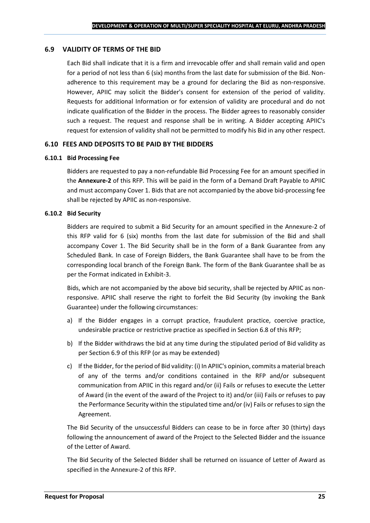#### **6.9 VALIDITY OF TERMS OF THE BID**

Each Bid shall indicate that it is a firm and irrevocable offer and shall remain valid and open for a period of not less than 6 (six) months from the last date for submission of the Bid. Nonadherence to this requirement may be a ground for declaring the Bid as non-responsive. However, APIIC may solicit the Bidder's consent for extension of the period of validity. Requests for additional Information or for extension of validity are procedural and do not indicate qualification of the Bidder in the process. The Bidder agrees to reasonably consider such a request. The request and response shall be in writing. A Bidder accepting APIIC's request for extension of validity shall not be permitted to modify his Bid in any other respect.

#### **6.10 FEES AND DEPOSITS TO BE PAID BY THE BIDDERS**

#### **6.10.1 Bid Processing Fee**

Bidders are requested to pay a non-refundable Bid Processing Fee for an amount specified in the **Annexure-2** of this RFP. This will be paid in the form of a Demand Draft Payable to APIIC and must accompany Cover 1. Bids that are not accompanied by the above bid-processing fee shall be rejected by APIIC as non-responsive.

#### **6.10.2 Bid Security**

Bidders are required to submit a Bid Security for an amount specified in the Annexure-2 of this RFP valid for 6 (six) months from the last date for submission of the Bid and shall accompany Cover 1. The Bid Security shall be in the form of a Bank Guarantee from any Scheduled Bank. In case of Foreign Bidders, the Bank Guarantee shall have to be from the corresponding local branch of the Foreign Bank. The form of the Bank Guarantee shall be as per the Format indicated in Exhibit-3.

Bids, which are not accompanied by the above bid security, shall be rejected by APIIC as nonresponsive. APIIC shall reserve the right to forfeit the Bid Security (by invoking the Bank Guarantee) under the following circumstances:

- a) If the Bidder engages in a corrupt practice, fraudulent practice, coercive practice, undesirable practice or restrictive practice as specified in Section 6.8 of this RFP;
- b) If the Bidder withdraws the bid at any time during the stipulated period of Bid validity as per Section 6.9 of this RFP (or as may be extended)
- c) If the Bidder, for the period of Bid validity: (i) In APIIC's opinion, commits a material breach of any of the terms and/or conditions contained in the RFP and/or subsequent communication from APIIC in this regard and/or (ii) Fails or refuses to execute the Letter of Award (in the event of the award of the Project to it) and/or (iii) Fails or refuses to pay the Performance Security within the stipulated time and/or (iv) Fails or refuses to sign the Agreement.

The Bid Security of the unsuccessful Bidders can cease to be in force after 30 (thirty) days following the announcement of award of the Project to the Selected Bidder and the issuance of the Letter of Award.

The Bid Security of the Selected Bidder shall be returned on issuance of Letter of Award as specified in the Annexure-2 of this RFP.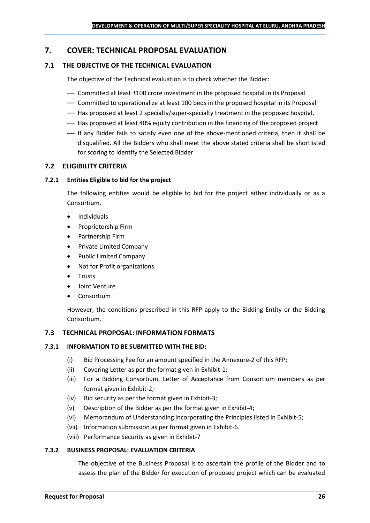## <span id="page-25-0"></span>**7. COVER: TECHNICAL PROPOSAL EVALUATION**

## **7.1 THE OBJECTIVE OF THE TECHNICAL EVALUATION**

The objective of the Technical evaluation is to check whether the Bidder:

- Committed at least ₹100 crore investment in the proposed hospital in its Proposal
- Committed to operationalize at least 100 beds in the proposed hospital in its Proposal
- Has proposed at least 2 specialty/super-specialty treatment in the proposed hospital.
- Has proposed at least 40% equity contribution in the financing of the proposed project
- If any Bidder fails to satisfy even one of the above-mentioned criteria, then it shall be disqualified. All the Bidders who shall meet the above stated criteria shall be shortlisted for scoring to identify the Selected Bidder

#### **7.2 ELIGIBILITY CRITERIA**

#### **7.2.1 Entities Eligible to bid for the project**

The following entities would be eligible to bid for the project either individually or as a Consortium.

- Individuals
- Proprietorship Firm
- Partnership Firm
- Private Limited Company
- Public Limited Company
- Not for Profit organizations
- Trusts
- Joint Venture
- **Consortium**

However, the conditions prescribed in this RFP apply to the Bidding Entity or the Bidding Consortium.

#### **7.3 TECHNICAL PROPOSAL: INFORMATION FORMATS**

#### **7.3.1 INFORMATION TO BE SUBMITTED WITH THE BID:**

- (i) Bid Processing Fee for an amount specified in the Annexure-2 of this RFP;
- (ii) Covering Letter as per the format given in Exhibit-1;
- (iii) For a Bidding Consortium, Letter of Acceptance from Consortium members as per format given in Exhibit-2;
- (iv) Bid security as per the format given in Exhibit-3;
- (v) Description of the Bidder as per the format given in Exhibit-4;
- (vi) Memorandum of Understanding incorporating the Principles listed in Exhibit-5;
- (vii) Information submission as per format given in Exhibit-6.
- (viii) Performance Security as given in Exhibit-7

#### **7.3.2 BUSINESS PROPOSAL: EVALUATION CRITERIA**

The objective of the Business Proposal is to ascertain the profile of the Bidder and to assess the plan of the Bidder for execution of proposed project which can be evaluated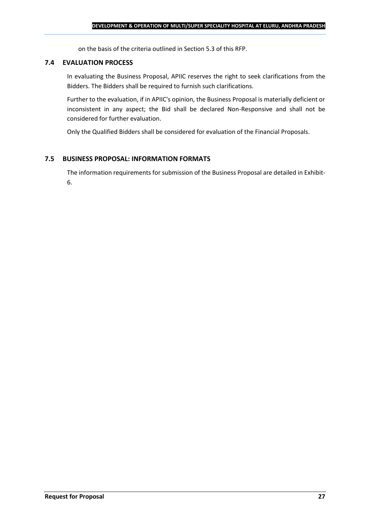on the basis of the criteria outlined in Section 5.3 of this RFP.

#### **7.4 EVALUATION PROCESS**

In evaluating the Business Proposal, APIIC reserves the right to seek clarifications from the Bidders. The Bidders shall be required to furnish such clarifications.

Further to the evaluation, if in APIIC's opinion, the Business Proposal is materially deficient or inconsistent in any aspect; the Bid shall be declared Non-Responsive and shall not be considered for further evaluation.

Only the Qualified Bidders shall be considered for evaluation of the Financial Proposals.

#### **7.5 BUSINESS PROPOSAL: INFORMATION FORMATS**

The information requirements for submission of the Business Proposal are detailed in Exhibit-6.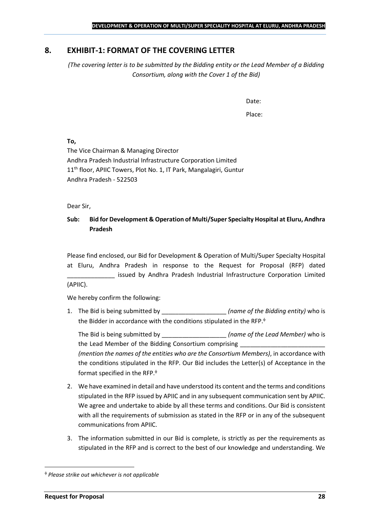## <span id="page-27-0"></span>**8. EXHIBIT-1: FORMAT OF THE COVERING LETTER**

*(The covering letter is to be submitted by the Bidding entity or the Lead Member of a Bidding Consortium, along with the Cover 1 of the Bid)*

Date:

Place:

**To,**

The Vice Chairman & Managing Director Andhra Pradesh Industrial Infrastructure Corporation Limited 11<sup>th</sup> floor, APIIC Towers, Plot No. 1, IT Park, Mangalagiri, Guntur Andhra Pradesh - 522503

Dear Sir,

## **Sub: Bid for Development & Operation of Multi/Super Specialty Hospital at Eluru, Andhra Pradesh**

Please find enclosed, our Bid for Development & Operation of Multi/Super Specialty Hospital at Eluru, Andhra Pradesh in response to the Request for Proposal (RFP) dated issued by Andhra Pradesh Industrial Infrastructure Corporation Limited (APIIC).

We hereby confirm the following:

1. The Bid is being submitted by **the intervalle in the Sidding entity**) who is the Bidder in accordance with the conditions stipulated in the RFP.

The Bid is being submitted by **the inclusive in the Solution Contract Contract Contract Contract Contract Contract Contract Contract Contract Contract Contract Contract Contract Contract Contract Contract Contract Contract** the Lead Member of the Bidding Consortium comprising *(mention the names of the entities who are the Consortium Members)*, in accordance with the conditions stipulated in the RFP. Our Bid includes the Letter(s) of Acceptance in the format specified in the RFP.

- 2. We have examined in detail and have understood its content and the terms and conditions stipulated in the RFP issued by APIIC and in any subsequent communication sent by APIIC. We agree and undertake to abide by all these terms and conditions. Our Bid is consistent with all the requirements of submission as stated in the RFP or in any of the subsequent communications from APIIC.
- 3. The information submitted in our Bid is complete, is strictly as per the requirements as stipulated in the RFP and is correct to the best of our knowledge and understanding. We

*Please strike out whichever is not applicable*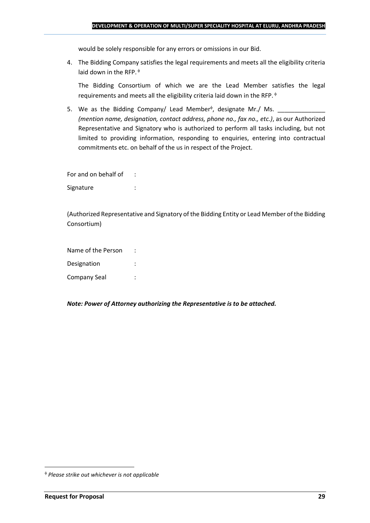would be solely responsible for any errors or omissions in our Bid.

4. The Bidding Company satisfies the legal requirements and meets all the eligibility criteria laid down in the RFP.  $\phi$ 

The Bidding Consortium of which we are the Lead Member satisfies the legal requirements and meets all the eligibility criteria laid down in the RFP.

5. We as the Bidding Company/ Lead Member<sup> $\phi$ </sup>, designate Mr./ Ms.  $\frac{1}{\sqrt{1-\frac{1}{2}}\sqrt{1-\frac{1}{2}}\sqrt{1-\frac{1}{2}}\sqrt{1-\frac{1}{2}}\sqrt{1-\frac{1}{2}}\sqrt{1-\frac{1}{2}}\sqrt{1-\frac{1}{2}}\sqrt{1-\frac{1}{2}}\sqrt{1-\frac{1}{2}}\sqrt{1-\frac{1}{2}}\sqrt{1-\frac{1}{2}}\sqrt{1-\frac{1}{2}}\sqrt{1-\frac{1}{2}}\sqrt{1$ *(mention name, designation, contact address, phone no., fax no., etc.)*, as our Authorized Representative and Signatory who is authorized to perform all tasks including, but not limited to providing information, responding to enquiries, entering into contractual commitments etc. on behalf of the us in respect of the Project.

For and on behalf of : Signature : the state of the state of the state of the state of the state of the state of the state of the state of the state of the state of the state of the state of the state of the state of the state of the state of th

(Authorized Representative and Signatory of the Bidding Entity or Lead Member of the Bidding Consortium)

Name of the Person : Designation : Company Seal :

*Note: Power of Attorney authorizing the Representative is to be attached.*

*Please strike out whichever is not applicable*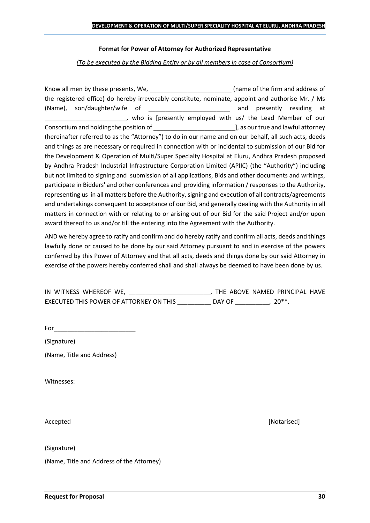#### **Format for Power of Attorney for Authorized Representative**

*(To be executed by the Bidding Entity or by all members in case of Consortium)*

Know all men by these presents, We, the state of the firm and address of the registered office) do hereby irrevocably constitute, nominate, appoint and authorise Mr. / Ms (Name), son/daughter/wife of \_\_\_\_\_\_\_\_\_\_\_\_\_\_\_\_\_\_\_\_\_\_\_\_ and presently residing at who is [presently employed with us/ the Lead Member of our Consortium and holding the position of  $\Box$  . The position of  $\Box$  as our true and lawful attorney (hereinafter referred to as the "Attorney") to do in our name and on our behalf, all such acts, deeds and things as are necessary or required in connection with or incidental to submission of our Bid for the Development & Operation of Multi/Super Specialty Hospital at Eluru, Andhra Pradesh proposed by Andhra Pradesh Industrial Infrastructure Corporation Limited (APIIC) (the "Authority") including but not limited to signing and submission of all applications, Bids and other documents and writings, participate in Bidders' and other conferences and providing information / responses to the Authority, representing us in all matters before the Authority, signing and execution of all contracts/agreements and undertakings consequent to acceptance of our Bid, and generally dealing with the Authority in all matters in connection with or relating to or arising out of our Bid for the said Project and/or upon award thereof to us and/or till the entering into the Agreement with the Authority.

AND we hereby agree to ratify and confirm and do hereby ratify and confirm all acts, deeds and things lawfully done or caused to be done by our said Attorney pursuant to and in exercise of the powers conferred by this Power of Attorney and that all acts, deeds and things done by our said Attorney in exercise of the powers hereby conferred shall and shall always be deemed to have been done by us.

| IN WITNESS WHEREOF WE,                  | THE ABOVE NAMED PRINCIPAL HAVE |        |
|-----------------------------------------|--------------------------------|--------|
| EXECUTED THIS POWER OF ATTORNEY ON THIS | DAY OF                         | $20**$ |

For  $\qquad \qquad$ 

(Signature)

(Name, Title and Address)

Witnesses:

(Signature)

(Name, Title and Address of the Attorney)

Accepted **[Notarised] Accepted** *Maximum Maximum Maximum Maximum Maximum <i>Maximum Maximum Maximum <i>Maximum Maximum Maximum <i>Maximum Maximum Maximum <i>Maximum Maximum*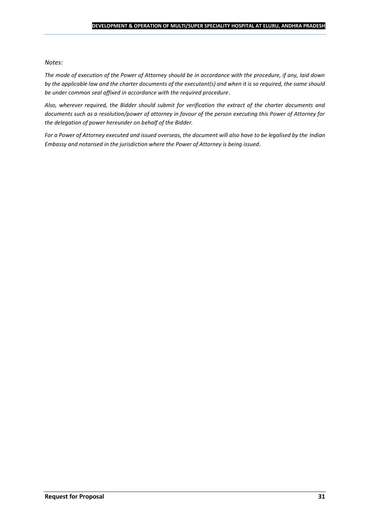#### *Notes:*

*The mode of execution of the Power of Attorney should be in accordance with the procedure, if any, laid down by the applicable law and the charter documents of the executant(s) and when it is so required, the same should be under common seal affixed in accordance with the required procedure*.

*Also, wherever required, the Bidder should submit for verification the extract of the charter documents and documents such as a resolution/power of attorney in favour of the person executing this Power of Attorney for the delegation of power hereunder on behalf of the Bidder.* 

For a Power of Attorney executed and issued overseas, the document will also have to be legalised by the *Indian Embassy and notarised in the jurisdiction where the Power of Attorney is being issued.*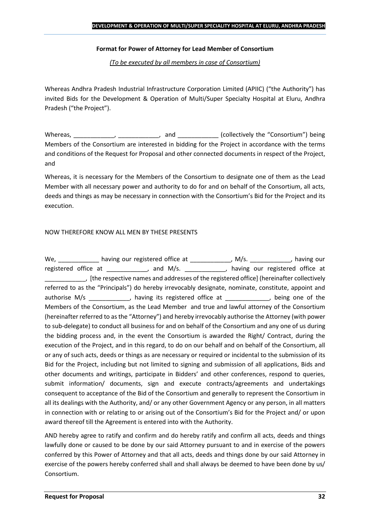#### **Format for Power of Attorney for Lead Member of Consortium**

*(To be executed by all members in case of Consortium)*

Whereas Andhra Pradesh Industrial Infrastructure Corporation Limited (APIIC) ("the Authority") has invited Bids for the Development & Operation of Multi/Super Specialty Hospital at Eluru, Andhra Pradesh ("the Project").

Whereas, \_\_\_\_\_\_\_\_\_\_\_\_, \_\_\_\_\_\_\_\_\_\_\_, and \_\_\_\_\_\_\_\_\_\_\_\_ (collectively the "Consortium") being Members of the Consortium are interested in bidding for the Project in accordance with the terms and conditions of the Request for Proposal and other connected documents in respect of the Project, and

Whereas, it is necessary for the Members of the Consortium to designate one of them as the Lead Member with all necessary power and authority to do for and on behalf of the Consortium, all acts, deeds and things as may be necessary in connection with the Consortium's Bid for the Project and its execution.

#### NOW THEREFORE KNOW ALL MEN BY THESE PRESENTS

We, \_\_\_\_\_\_\_\_\_\_\_\_\_ having our registered office at \_\_\_\_\_\_\_\_\_\_\_\_\_, M/s. \_\_\_\_\_\_\_\_\_\_\_, having our registered office at \_\_\_\_\_\_\_\_\_\_\_, and M/s. \_\_\_\_\_\_\_\_\_\_\_, having our registered office at \_\_\_\_\_\_\_\_\_\_\_\_, [the respective names and addresses of the registered office] (hereinafter collectively referred to as the "Principals") do hereby irrevocably designate, nominate, constitute, appoint and authorise M/s \_\_\_\_\_\_\_\_\_\_\_, having its registered office at \_\_\_\_\_\_\_\_\_\_\_, being one of the Members of the Consortium, as the Lead Member and true and lawful attorney of the Consortium (hereinafter referred to as the "Attorney") and hereby irrevocably authorise the Attorney (with power to sub-delegate) to conduct all business for and on behalf of the Consortium and any one of us during the bidding process and, in the event the Consortium is awarded the Right/ Contract, during the execution of the Project, and in this regard, to do on our behalf and on behalf of the Consortium, all or any of such acts, deeds or things as are necessary or required or incidental to the submission of its Bid for the Project, including but not limited to signing and submission of all applications, Bids and other documents and writings, participate in Bidders' and other conferences, respond to queries, submit information/ documents, sign and execute contracts/agreements and undertakings consequent to acceptance of the Bid of the Consortium and generally to represent the Consortium in all its dealings with the Authority, and/ or any other Government Agency or any person, in all matters in connection with or relating to or arising out of the Consortium's Bid for the Project and/ or upon award thereof till the Agreement is entered into with the Authority.

AND hereby agree to ratify and confirm and do hereby ratify and confirm all acts, deeds and things lawfully done or caused to be done by our said Attorney pursuant to and in exercise of the powers conferred by this Power of Attorney and that all acts, deeds and things done by our said Attorney in exercise of the powers hereby conferred shall and shall always be deemed to have been done by us/ Consortium.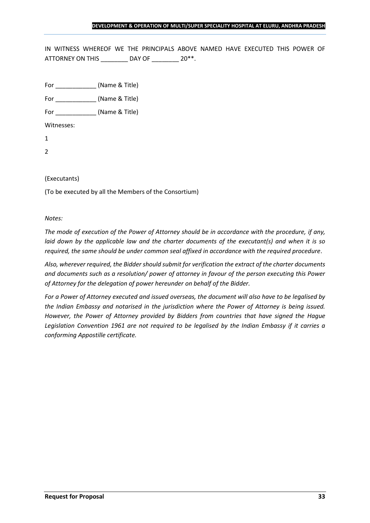IN WITNESS WHEREOF WE THE PRINCIPALS ABOVE NAMED HAVE EXECUTED THIS POWER OF ATTORNEY ON THIS \_\_\_\_\_\_\_\_ DAY OF \_\_\_\_\_\_\_ 20\*\*.

For \_\_\_\_\_\_\_\_\_\_\_\_ (Name & Title)

For  $(Name & Title)$ 

Witnesses:

1

2

#### (Executants)

(To be executed by all the Members of the Consortium)

*Notes:* 

*The mode of execution of the Power of Attorney should be in accordance with the procedure, if any, laid down by the applicable law and the charter documents of the executant(s) and when it is so required, the same should be under common seal affixed in accordance with the required procedure*.

*Also, wherever required, the Bidder should submit for verification the extract of the charter documents and documents such as a resolution/ power of attorney in favour of the person executing this Power of Attorney for the delegation of power hereunder on behalf of the Bidder.* 

*For a Power of Attorney executed and issued overseas, the document will also have to be legalised by the Indian Embassy and notarised in the jurisdiction where the Power of Attorney is being issued. However, the Power of Attorney provided by Bidders from countries that have signed the Hague Legislation Convention 1961 are not required to be legalised by the Indian Embassy if it carries a conforming Appostille certificate.*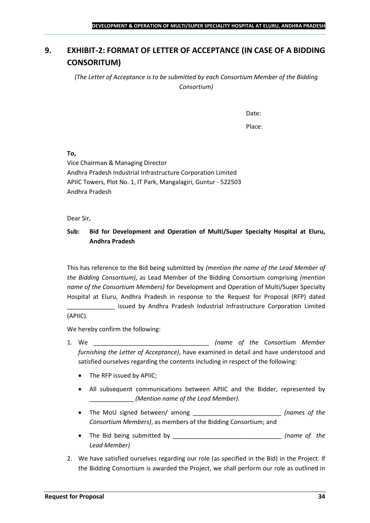## <span id="page-33-0"></span>**9. EXHIBIT-2: FORMAT OF LETTER OF ACCEPTANCE (IN CASE OF A BIDDING CONSORITUM)**

*(The Letter of Acceptance is to be submitted by each Consortium Member of the Bidding Consortium)*

Date:

Place:

**To,**

Vice Chairman & Managing Director Andhra Pradesh Industrial Infrastructure Corporation Limited APIIC Towers, Plot No. 1, IT Park, Mangalagiri, Guntur - 522503 Andhra Pradesh

Dear Sir,

## **Sub: Bid for Development and Operation of Multi/Super Specialty Hospital at Eluru, Andhra Pradesh**

This has reference to the Bid being submitted by *(mention the name of the Lead Member of the Bidding Consortium)*, as Lead Member of the Bidding Consortium comprising *(mention name of the Consortium Members)* for Development and Operation of Multi/Super Specialty Hospital at Eluru, Andhra Pradesh in response to the Request for Proposal (RFP) dated

\_\_\_\_\_\_\_\_\_\_\_\_\_\_ issued by Andhra Pradesh Industrial Infrastructure Corporation Limited (APIIC).

We hereby confirm the following:

- 1. We \_\_\_\_\_\_\_\_\_\_\_\_\_\_\_\_\_\_\_\_\_\_\_\_\_\_\_\_\_\_\_\_\_\_ *(name of the Consortium Member furnishing the Letter of Acceptance)*, have examined in detail and have understood and satisfied ourselves regarding the contents including in respect of the following:
	- The RFP issued by APIIC;
	- All subsequent communications between APIIC and the Bidder, represented by \_\_\_\_\_\_\_\_\_\_\_\_\_ *(Mention name of the Lead Member)*.
	- The MoU signed between/ among \_\_\_\_\_\_\_\_\_\_\_\_\_\_\_\_\_\_\_\_\_\_\_\_\_\_ *(names of the Consortium Members)*, as members of the Bidding Consortium; and
	- The Bid being submitted by \_\_\_\_\_\_\_\_\_\_\_\_\_\_\_\_\_\_\_\_\_\_\_\_\_\_\_\_\_\_\_\_ *(name of the Lead Member)*
- 2. We have satisfied ourselves regarding our role (as specified in the Bid) in the Project. If the Bidding Consortium is awarded the Project, we shall perform our role as outlined in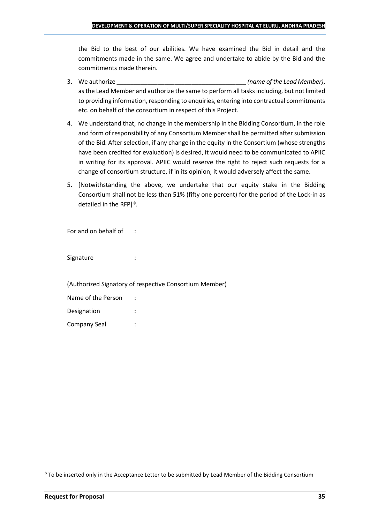the Bid to the best of our abilities. We have examined the Bid in detail and the commitments made in the same. We agree and undertake to abide by the Bid and the commitments made therein.

- 3. We authorize \_\_\_\_\_\_\_\_\_\_\_\_\_\_\_\_\_\_\_\_\_\_\_\_\_\_\_\_\_\_\_\_\_\_\_\_\_\_ *(name of the Lead Member)*, as the Lead Member and authorize the same to perform all tasks including, but not limited to providing information, responding to enquiries, entering into contractual commitments etc. on behalf of the consortium in respect of this Project.
- 4. We understand that, no change in the membership in the Bidding Consortium, in the role and form of responsibility of any Consortium Member shall be permitted after submission of the Bid. After selection, if any change in the equity in the Consortium (whose strengths have been credited for evaluation) is desired, it would need to be communicated to APIIC in writing for its approval. APIIC would reserve the right to reject such requests for a change of consortium structure, if in its opinion; it would adversely affect the same.
- 5. [Notwithstanding the above, we undertake that our equity stake in the Bidding Consortium shall not be less than 51% (fifty one percent) for the period of the Lock-in as detailed in the RFP] $\triangleq$ .

For and on behalf of :

Signature : :

(Authorized Signatory of respective Consortium Member)

| Name of the Person |  |
|--------------------|--|
| Designation        |  |
| Company Seal       |  |

To be inserted only in the Acceptance Letter to be submitted by Lead Member of the Bidding Consortium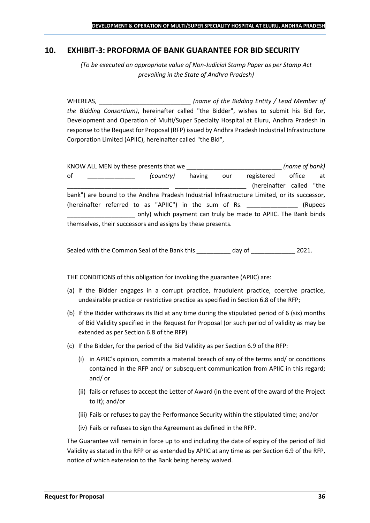## <span id="page-35-0"></span>**10. EXHIBIT-3: PROFORMA OF BANK GUARANTEE FOR BID SECURITY**

*(To be executed on appropriate value of Non-Judicial Stamp Paper as per Stamp Act prevailing in the State of Andhra Pradesh)*

WHEREAS, \_\_\_\_\_\_\_\_\_\_\_\_\_\_\_\_\_\_\_\_\_\_\_\_\_\_\_ *(name of the Bidding Entity / Lead Member of the Bidding Consortium)*, hereinafter called "the Bidder", wishes to submit his Bid for, Development and Operation of Multi/Super Specialty Hospital at Eluru, Andhra Pradesh in response to the Request for Proposal (RFP) issued by Andhra Pradesh Industrial Infrastructure Corporation Limited (APIIC), hereinafter called "the Bid",

KNOW ALL MEN by these presents that we \_\_\_\_\_\_\_\_\_\_\_\_\_\_\_\_\_\_\_\_\_\_\_\_\_\_\_\_ *(name of bank)* of \_\_\_\_\_\_\_\_\_\_\_\_\_\_ *(country)* having our registered office at (hereinafter called "the bank") are bound to the Andhra Pradesh Industrial Infrastructure Limited, or its successor, (hereinafter referred to as "APIIC") in the sum of Rs. \_\_\_\_\_\_\_\_\_\_\_\_\_\_\_ (Rupees \_\_\_\_\_\_\_\_\_\_\_\_\_\_\_\_\_\_\_\_ only) which payment can truly be made to APIIC. The Bank binds themselves, their successors and assigns by these presents.

Sealed with the Common Seal of the Bank this day of  $2021$ .

THE CONDITIONS of this obligation for invoking the guarantee (APIIC) are:

- (a) If the Bidder engages in a corrupt practice, fraudulent practice, coercive practice, undesirable practice or restrictive practice as specified in Section 6.8 of the RFP;
- (b) If the Bidder withdraws its Bid at any time during the stipulated period of 6 (six) months of Bid Validity specified in the Request for Proposal (or such period of validity as may be extended as per Section 6.8 of the RFP)
- (c) If the Bidder, for the period of the Bid Validity as per Section 6.9 of the RFP:
	- (i) in APIIC's opinion, commits a material breach of any of the terms and/ or conditions contained in the RFP and/ or subsequent communication from APIIC in this regard; and/ or
	- (ii) fails or refuses to accept the Letter of Award (in the event of the award of the Project to it); and/or
	- (iii) Fails or refuses to pay the Performance Security within the stipulated time; and/or
	- (iv) Fails or refuses to sign the Agreement as defined in the RFP.

The Guarantee will remain in force up to and including the date of expiry of the period of Bid Validity as stated in the RFP or as extended by APIIC at any time as per Section 6.9 of the RFP, notice of which extension to the Bank being hereby waived.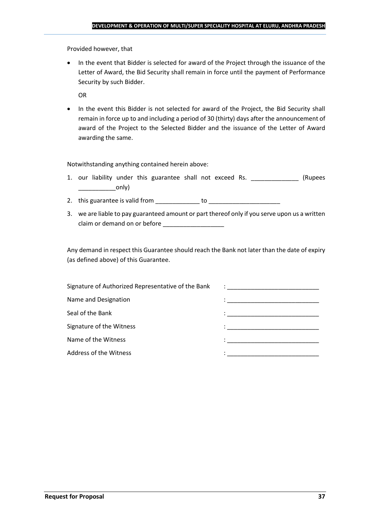Provided however, that

• In the event that Bidder is selected for award of the Project through the issuance of the Letter of Award, the Bid Security shall remain in force until the payment of Performance Security by such Bidder.

OR

• In the event this Bidder is not selected for award of the Project, the Bid Security shall remain in force up to and including a period of 30 (thirty) days after the announcement of award of the Project to the Selected Bidder and the issuance of the Letter of Award awarding the same.

Notwithstanding anything contained herein above:

- 1. our liability under this guarantee shall not exceed Rs. \_\_\_\_\_\_\_\_\_\_\_\_\_\_\_ (Rupees  $\begin{array}{c} \begin{array}{c} \begin{array}{c} \end{array} \end{array}$
- 2. this guarantee is valid from to be to to to the state of the state of the state of the state of the state o
- 3. we are liable to pay guaranteed amount or part thereof only if you serve upon us a written claim or demand on or before

Any demand in respect this Guarantee should reach the Bank not later than the date of expiry (as defined above) of this Guarantee.

| Signature of Authorized Representative of the Bank | $\ddot{\phantom{a}}$ : $\dot{\phantom{a}}$ , $\dot{\phantom{a}}$ , $\ddot{\phantom{a}}$ , $\ddot{\phantom{a}}$ , $\ddot{\phantom{a}}$ , $\ddot{\phantom{a}}$ , $\ddot{\phantom{a}}$ , $\ddot{\phantom{a}}$ , $\ddot{\phantom{a}}$ , $\ddot{\phantom{a}}$ , $\ddot{\phantom{a}}$ , $\ddot{\phantom{a}}$ , $\ddot{\phantom{a}}$ , $\ddot{\phantom{a}}$ , $\ddot{\phantom{a}}$ , |
|----------------------------------------------------|-------------------------------------------------------------------------------------------------------------------------------------------------------------------------------------------------------------------------------------------------------------------------------------------------------------------------------------------------------------------------------|
| Name and Designation                               |                                                                                                                                                                                                                                                                                                                                                                               |
| Seal of the Bank                                   | in the contract of the contract of the contract of the contract of the contract of the contract of the contract of                                                                                                                                                                                                                                                            |
| Signature of the Witness                           |                                                                                                                                                                                                                                                                                                                                                                               |
| Name of the Witness                                |                                                                                                                                                                                                                                                                                                                                                                               |
| Address of the Witness                             | the control of the control of the control of the control of the control of                                                                                                                                                                                                                                                                                                    |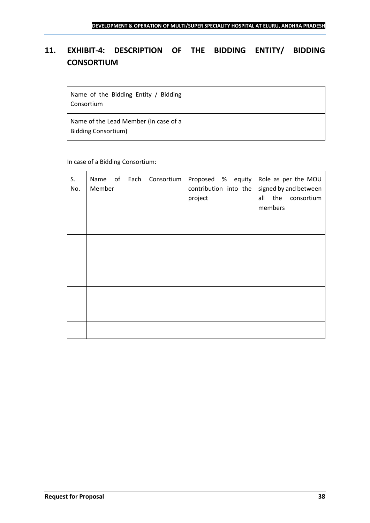## <span id="page-37-0"></span>**11. EXHIBIT-4: DESCRIPTION OF THE BIDDING ENTITY/ BIDDING CONSORTIUM**

| Name of the Bidding Entity / Bidding<br>Consortium                  |  |
|---------------------------------------------------------------------|--|
| Name of the Lead Member (In case of a<br><b>Bidding Consortium)</b> |  |

## In case of a Bidding Consortium:

| S.<br>No. | Name of Each Consortium   Proposed % equity   Role as per the MOU<br>Member | contribution into the<br>project | signed by and between<br>all the consortium<br>members |
|-----------|-----------------------------------------------------------------------------|----------------------------------|--------------------------------------------------------|
|           |                                                                             |                                  |                                                        |
|           |                                                                             |                                  |                                                        |
|           |                                                                             |                                  |                                                        |
|           |                                                                             |                                  |                                                        |
|           |                                                                             |                                  |                                                        |
|           |                                                                             |                                  |                                                        |
|           |                                                                             |                                  |                                                        |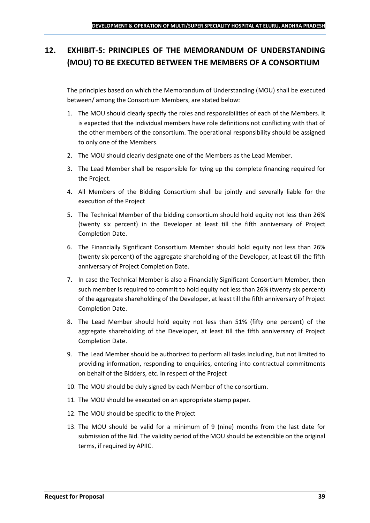## <span id="page-38-0"></span>**12. EXHIBIT-5: PRINCIPLES OF THE MEMORANDUM OF UNDERSTANDING (MOU) TO BE EXECUTED BETWEEN THE MEMBERS OF A CONSORTIUM**

The principles based on which the Memorandum of Understanding (MOU) shall be executed between/ among the Consortium Members, are stated below:

- 1. The MOU should clearly specify the roles and responsibilities of each of the Members. It is expected that the individual members have role definitions not conflicting with that of the other members of the consortium. The operational responsibility should be assigned to only one of the Members.
- 2. The MOU should clearly designate one of the Members as the Lead Member.
- 3. The Lead Member shall be responsible for tying up the complete financing required for the Project.
- 4. All Members of the Bidding Consortium shall be jointly and severally liable for the execution of the Project
- 5. The Technical Member of the bidding consortium should hold equity not less than 26% (twenty six percent) in the Developer at least till the fifth anniversary of Project Completion Date.
- 6. The Financially Significant Consortium Member should hold equity not less than 26% (twenty six percent) of the aggregate shareholding of the Developer, at least till the fifth anniversary of Project Completion Date.
- 7. In case the Technical Member is also a Financially Significant Consortium Member, then such member is required to commit to hold equity not less than 26% (twenty six percent) of the aggregate shareholding of the Developer, at least till the fifth anniversary of Project Completion Date.
- 8. The Lead Member should hold equity not less than 51% (fifty one percent) of the aggregate shareholding of the Developer, at least till the fifth anniversary of Project Completion Date.
- 9. The Lead Member should be authorized to perform all tasks including, but not limited to providing information, responding to enquiries, entering into contractual commitments on behalf of the Bidders, etc. in respect of the Project
- 10. The MOU should be duly signed by each Member of the consortium.
- 11. The MOU should be executed on an appropriate stamp paper.
- 12. The MOU should be specific to the Project
- 13. The MOU should be valid for a minimum of 9 (nine) months from the last date for submission of the Bid. The validity period of the MOU should be extendible on the original terms, if required by APIIC.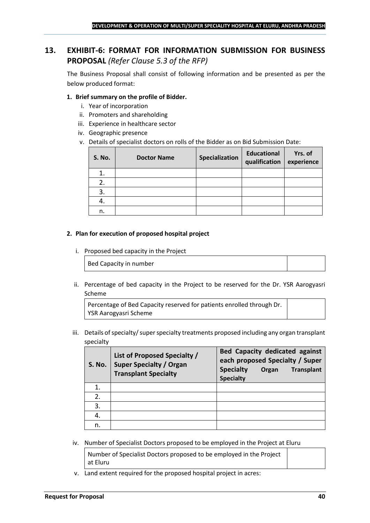## <span id="page-39-0"></span>**13. EXHIBIT-6: FORMAT FOR INFORMATION SUBMISSION FOR BUSINESS PROPOSAL** *(Refer Clause 5.3 of the RFP)*

The Business Proposal shall consist of following information and be presented as per the below produced format:

#### **1. Brief summary on the profile of Bidder.**

- i. Year of incorporation
- ii. Promoters and shareholding
- iii. Experience in healthcare sector
- iv. Geographic presence
- v. Details of specialist doctors on rolls of the Bidder as on Bid Submission Date:

| <b>S. No.</b> | <b>Doctor Name</b> | Specialization | <b>Educational</b><br>qualification | Yrs. of<br>experience |
|---------------|--------------------|----------------|-------------------------------------|-----------------------|
|               |                    |                |                                     |                       |
| 2.            |                    |                |                                     |                       |
| 3.            |                    |                |                                     |                       |
| 4.            |                    |                |                                     |                       |
| n.            |                    |                |                                     |                       |

#### **2. Plan for execution of proposed hospital project**

i. Proposed bed capacity in the Project

Bed Capacity in number

ii. Percentage of bed capacity in the Project to be reserved for the Dr. YSR Aarogyasri Scheme

Percentage of Bed Capacity reserved for patients enrolled through Dr. YSR Aarogyasri Scheme

iii. Details of specialty/ super specialty treatments proposed including any organ transplant specialty

| <b>S. No.</b> | List of Proposed Specialty /<br><b>Super Specialty / Organ</b><br><b>Transplant Specialty</b> | <b>Bed Capacity dedicated against</b><br>each proposed Specialty / Super<br><b>Specialty</b><br><b>Transplant</b><br>Organ<br><b>Specialty</b> |
|---------------|-----------------------------------------------------------------------------------------------|------------------------------------------------------------------------------------------------------------------------------------------------|
|               |                                                                                               |                                                                                                                                                |
| 2.            |                                                                                               |                                                                                                                                                |
| 3.            |                                                                                               |                                                                                                                                                |
| 4.            |                                                                                               |                                                                                                                                                |
| n.            |                                                                                               |                                                                                                                                                |

iv. Number of Specialist Doctors proposed to be employed in the Project at Eluru

Number of Specialist Doctors proposed to be employed in the Project at Eluru

v. Land extent required for the proposed hospital project in acres: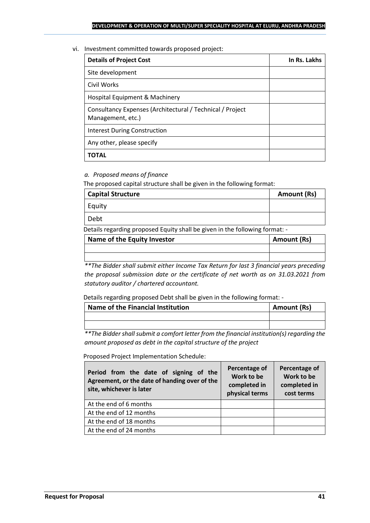#### vi. Investment committed towards proposed project:

| <b>Details of Project Cost</b>                                                 | In Rs. Lakhs |
|--------------------------------------------------------------------------------|--------------|
| Site development                                                               |              |
| Civil Works                                                                    |              |
| Hospital Equipment & Machinery                                                 |              |
| Consultancy Expenses (Architectural / Technical / Project<br>Management, etc.) |              |
| Interest During Construction                                                   |              |
| Any other, please specify                                                      |              |
| <b>TOTAL</b>                                                                   |              |

## *a. Proposed means of finance*

The proposed capital structure shall be given in the following format:

| <b>Capital Structure</b> | <b>Amount (Rs)</b> |
|--------------------------|--------------------|
| Equity                   |                    |
| Debt                     |                    |
|                          |                    |

Details regarding proposed Equity shall be given in the following format: -

| Name of the Equity Investor | <b>Amount (Rs)</b> |
|-----------------------------|--------------------|
|                             |                    |
|                             |                    |

*\*\*The Bidder shall submit either Income Tax Return for last 3 financial years preceding the proposal submission date or the certificate of net worth as on 31.03.2021 from statutory auditor / chartered accountant.*

Details regarding proposed Debt shall be given in the following format: -

| Name of the Financial Institution | Amount (Rs) |
|-----------------------------------|-------------|
|                                   |             |
|                                   |             |

*\*\*The Bidder shall submit a comfort letter from the financial institution(s) regarding the amount proposed as debt in the capital structure of the project*

Proposed Project Implementation Schedule:

| Period from the date of signing of the<br>Agreement, or the date of handing over of the<br>site, whichever is later | Percentage of<br>Work to be<br>completed in<br>physical terms | Percentage of<br>Work to be<br>completed in<br>cost terms |
|---------------------------------------------------------------------------------------------------------------------|---------------------------------------------------------------|-----------------------------------------------------------|
| At the end of 6 months                                                                                              |                                                               |                                                           |
| At the end of 12 months                                                                                             |                                                               |                                                           |
| At the end of 18 months                                                                                             |                                                               |                                                           |
| At the end of 24 months                                                                                             |                                                               |                                                           |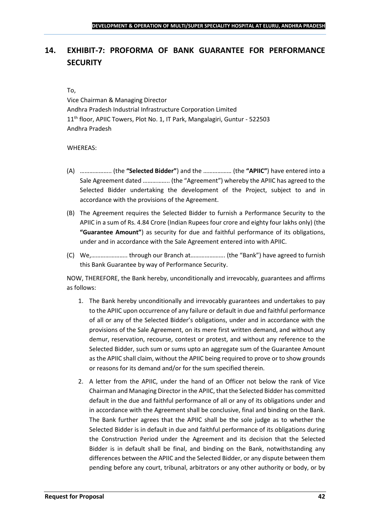## <span id="page-41-0"></span>**14. EXHIBIT-7: PROFORMA OF BANK GUARANTEE FOR PERFORMANCE SECURITY**

### To,

Vice Chairman & Managing Director Andhra Pradesh Industrial Infrastructure Corporation Limited 11<sup>th</sup> floor, APIIC Towers, Plot No. 1, IT Park, Mangalagiri, Guntur - 522503 Andhra Pradesh

## WHEREAS:

- (A) ……………….. (the **"Selected Bidder"**) and the ……………… (the **"APIIC"**) have entered into a Sale Agreement dated …………….. (the "Agreement") whereby the APIIC has agreed to the Selected Bidder undertaking the development of the Project, subject to and in accordance with the provisions of the Agreement.
- (B) The Agreement requires the Selected Bidder to furnish a Performance Security to the APIIC in a sum of Rs. 4.84 Crore (Indian Rupees four crore and eighty four lakhs only) (the **"Guarantee Amount"**) as security for due and faithful performance of its obligations, under and in accordance with the Sale Agreement entered into with APIIC.
- (C) We,………………….. through our Branch at…………………. (the "Bank") have agreed to furnish this Bank Guarantee by way of Performance Security.

NOW, THEREFORE, the Bank hereby, unconditionally and irrevocably, guarantees and affirms as follows:

- 1. The Bank hereby unconditionally and irrevocably guarantees and undertakes to pay to the APIIC upon occurrence of any failure or default in due and faithful performance of all or any of the Selected Bidder's obligations, under and in accordance with the provisions of the Sale Agreement, on its mere first written demand, and without any demur, reservation, recourse, contest or protest, and without any reference to the Selected Bidder, such sum or sums upto an aggregate sum of the Guarantee Amount as the APIIC shall claim, without the APIIC being required to prove or to show grounds or reasons for its demand and/or for the sum specified therein.
- 2. A letter from the APIIC, under the hand of an Officer not below the rank of Vice Chairman and Managing Director in the APIIC, that the Selected Bidder has committed default in the due and faithful performance of all or any of its obligations under and in accordance with the Agreement shall be conclusive, final and binding on the Bank. The Bank further agrees that the APIIC shall be the sole judge as to whether the Selected Bidder is in default in due and faithful performance of its obligations during the Construction Period under the Agreement and its decision that the Selected Bidder is in default shall be final, and binding on the Bank, notwithstanding any differences between the APIIC and the Selected Bidder, or any dispute between them pending before any court, tribunal, arbitrators or any other authority or body, or by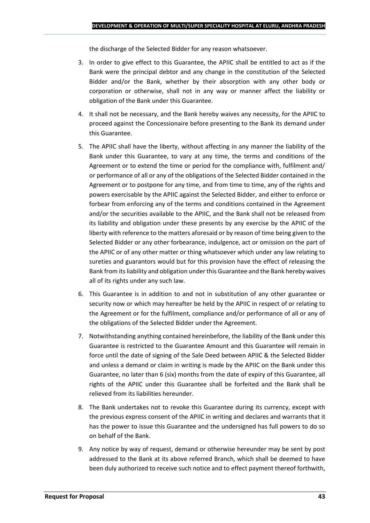the discharge of the Selected Bidder for any reason whatsoever.

- 3. In order to give effect to this Guarantee, the APIIC shall be entitled to act as if the Bank were the principal debtor and any change in the constitution of the Selected Bidder and/or the Bank, whether by their absorption with any other body or corporation or otherwise, shall not in any way or manner affect the liability or obligation of the Bank under this Guarantee.
- 4. It shall not be necessary, and the Bank hereby waives any necessity, for the APIIC to proceed against the Concessionaire before presenting to the Bank its demand under this Guarantee.
- 5. The APIIC shall have the liberty, without affecting in any manner the liability of the Bank under this Guarantee, to vary at any time, the terms and conditions of the Agreement or to extend the time or period for the compliance with, fulfilment and/ or performance of all or any of the obligations of the Selected Bidder contained in the Agreement or to postpone for any time, and from time to time, any of the rights and powers exercisable by the APIIC against the Selected Bidder, and either to enforce or forbear from enforcing any of the terms and conditions contained in the Agreement and/or the securities available to the APIIC, and the Bank shall not be released from its liability and obligation under these presents by any exercise by the APIIC of the liberty with reference to the matters aforesaid or by reason of time being given to the Selected Bidder or any other forbearance, indulgence, act or omission on the part of the APIIC or of any other matter or thing whatsoever which under any law relating to sureties and guarantors would but for this provision have the effect of releasing the Bank from itsliability and obligation under this Guarantee and the Bank hereby waives all of its rights under any such law.
- 6. This Guarantee is in addition to and not in substitution of any other guarantee or security now or which may hereafter be held by the APIIC in respect of or relating to the Agreement or for the fulfilment, compliance and/or performance of all or any of the obligations of the Selected Bidder under the Agreement.
- 7. Notwithstanding anything contained hereinbefore, the liability of the Bank under this Guarantee is restricted to the Guarantee Amount and this Guarantee will remain in force until the date of signing of the Sale Deed between APIIC & the Selected Bidder and unless a demand or claim in writing is made by the APIIC on the Bank under this Guarantee, no later than 6 (six) months from the date of expiry of this Guarantee, all rights of the APIIC under this Guarantee shall be forfeited and the Bank shall be relieved from its liabilities hereunder.
- 8. The Bank undertakes not to revoke this Guarantee during its currency, except with the previous express consent of the APIIC in writing and declares and warrants that it has the power to issue this Guarantee and the undersigned has full powers to do so on behalf of the Bank.
- 9. Any notice by way of request, demand or otherwise hereunder may be sent by post addressed to the Bank at its above referred Branch, which shall be deemed to have been duly authorized to receive such notice and to effect payment thereof forthwith,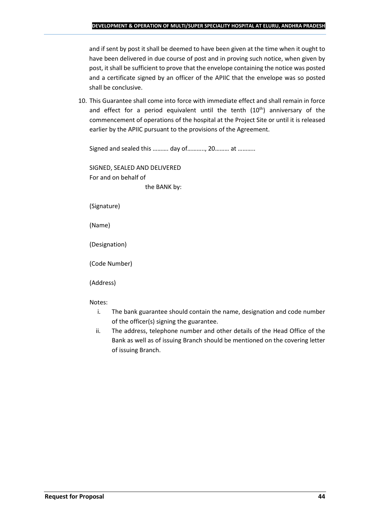and if sent by post it shall be deemed to have been given at the time when it ought to have been delivered in due course of post and in proving such notice, when given by post, it shall be sufficient to prove that the envelope containing the notice was posted and a certificate signed by an officer of the APIIC that the envelope was so posted shall be conclusive.

10. This Guarantee shall come into force with immediate effect and shall remain in force and effect for a period equivalent until the tenth  $(10<sup>th</sup>)$  anniversary of the commencement of operations of the hospital at the Project Site or until it is released earlier by the APIIC pursuant to the provisions of the Agreement.

Signed and sealed this ………. day of……….., 20……… at ………..

SIGNED, SEALED AND DELIVERED For and on behalf of the BANK by:

(Signature)

(Name)

(Designation)

(Code Number)

(Address)

Notes:

- i. The bank guarantee should contain the name, designation and code number of the officer(s) signing the guarantee.
- ii. The address, telephone number and other details of the Head Office of the Bank as well as of issuing Branch should be mentioned on the covering letter of issuing Branch.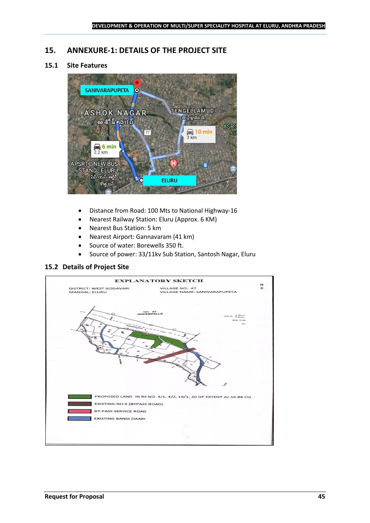## <span id="page-44-0"></span>**15. ANNEXURE-1: DETAILS OF THE PROJECT SITE**

## **15.1 Site Features**



- Distance from Road: 100 Mts to National Highway-16
- Nearest Railway Station: Eluru (Approx. 6 KM)
- Nearest Bus Station: 5 km
- Nearest Airport: Gannavaram (41 km)
- Source of water: Borewells 350 ft.
- Source of power: 33/11kv Sub Station, Santosh Nagar, Eluru

#### **15.2 Details of Project Site**

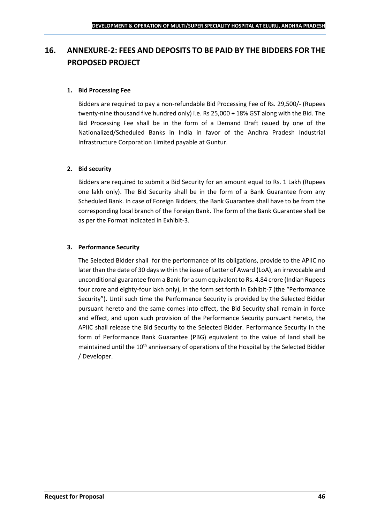## <span id="page-45-0"></span>**16. ANNEXURE-2: FEES AND DEPOSITS TO BE PAID BY THE BIDDERS FOR THE PROPOSED PROJECT**

## **1. Bid Processing Fee**

Bidders are required to pay a non-refundable Bid Processing Fee of Rs. 29,500/- (Rupees twenty-nine thousand five hundred only) i.e. Rs 25,000 + 18% GST along with the Bid. The Bid Processing Fee shall be in the form of a Demand Draft issued by one of the Nationalized/Scheduled Banks in India in favor of the Andhra Pradesh Industrial Infrastructure Corporation Limited payable at Guntur.

#### **2. Bid security**

Bidders are required to submit a Bid Security for an amount equal to Rs. 1 Lakh (Rupees one lakh only). The Bid Security shall be in the form of a Bank Guarantee from any Scheduled Bank. In case of Foreign Bidders, the Bank Guarantee shall have to be from the corresponding local branch of the Foreign Bank. The form of the Bank Guarantee shall be as per the Format indicated in Exhibit-3.

#### **3. Performance Security**

The Selected Bidder shall for the performance of its obligations, provide to the APIIC no later than the date of 30 days within the issue of Letter of Award (LoA), an irrevocable and unconditional guarantee from a Bank for a sum equivalent to Rs. 4.84 crore (Indian Rupees four crore and eighty-four lakh only), in the form set forth in Exhibit-7 (the "Performance Security"). Until such time the Performance Security is provided by the Selected Bidder pursuant hereto and the same comes into effect, the Bid Security shall remain in force and effect, and upon such provision of the Performance Security pursuant hereto, the APIIC shall release the Bid Security to the Selected Bidder. Performance Security in the form of Performance Bank Guarantee (PBG) equivalent to the value of land shall be maintained until the 10<sup>th</sup> anniversary of operations of the Hospital by the Selected Bidder / Developer.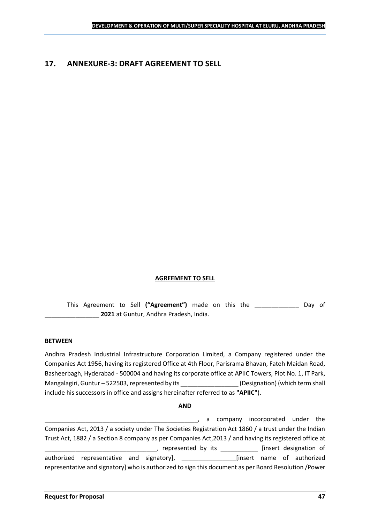## <span id="page-46-0"></span>**17. ANNEXURE-3: DRAFT AGREEMENT TO SELL**

#### **AGREEMENT TO SELL**

This Agreement to Sell **("Agreement")** made on this the \_\_\_\_\_\_\_\_\_\_\_\_\_ Day of \_\_\_\_\_\_\_\_\_\_\_\_\_\_\_\_ **2021** at Guntur, Andhra Pradesh, India.

#### **BETWEEN**

Andhra Pradesh Industrial Infrastructure Corporation Limited, a Company registered under the Companies Act 1956, having its registered Office at 4th Floor, Parisrama Bhavan, Fateh Maidan Road, Basheerbagh, Hyderabad - 500004 and having its corporate office at APIIC Towers, Plot No. 1, IT Park, Mangalagiri, Guntur – 522503, represented by its \_\_\_\_\_\_\_\_\_\_\_\_\_\_\_\_\_\_\_\_\_\_\_\_\_\_\_\_\_\_\_\_<br>(Designation) (which term shall include his successors in office and assigns hereinafter referred to as **"APIIC"**).

#### **AND**

\_\_\_\_\_\_\_\_\_\_\_\_\_\_\_\_\_\_\_\_\_\_\_\_\_\_\_\_\_\_\_\_\_\_\_\_\_\_\_\_\_\_\_\_\_, a company incorporated under the Companies Act, 2013 / a society under The Societies Registration Act 1860 / a trust under the Indian Trust Act, 1882 / a Section 8 company as per Companies Act,2013 / and having its registered office at \_\_\_\_\_, represented by its \_\_\_\_\_\_\_\_\_\_\_\_\_ [insert designation of authorized representative and signatory], \_\_\_\_\_\_\_\_\_\_\_\_\_\_\_\_[insert name of authorized representative and signatory] who is authorized to sign this document as per Board Resolution /Power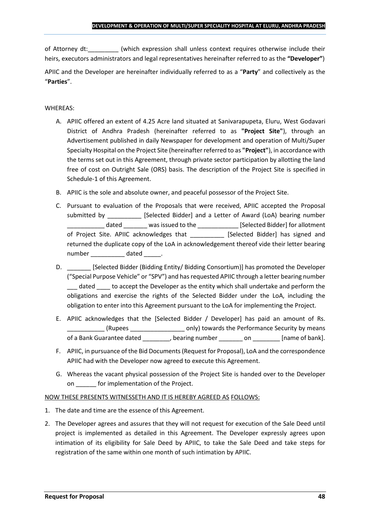of Attorney dt:  $\qquad \qquad$  (which expression shall unless context requires otherwise include their heirs, executors administrators and legal representatives hereinafter referred to as the **"Developer"**)

APIIC and the Developer are hereinafter individually referred to as a "**Party**" and collectively as the "**Parties**".

## WHEREAS:

- A. APIIC offered an extent of 4.25 Acre land situated at Sanivarapupeta, Eluru, West Godavari District of Andhra Pradesh (hereinafter referred to as **"Project Site"**), through an Advertisement published in daily Newspaper for development and operation of Multi/Super Specialty Hospital on the Project Site (hereinafter referred to as **"Project"**), in accordance with the terms set out in this Agreement, through private sector participation by allotting the land free of cost on Outright Sale (ORS) basis. The description of the Project Site is specified in Schedule-1 of this Agreement.
- B. APIIC is the sole and absolute owner, and peaceful possessor of the Project Site.
- C. Pursuant to evaluation of the Proposals that were received, APIIC accepted the Proposal submitted by [Selected Bidder] and a Letter of Award (LoA) bearing number \_\_\_\_\_\_\_\_\_\_\_ dated \_\_\_\_\_\_\_ was issued to the \_\_\_\_\_\_\_\_\_\_\_\_ [Selected Bidder] for allotment of Project Site. APIIC acknowledges that [Selected Bidder] has signed and returned the duplicate copy of the LoA in acknowledgement thereof vide their letter bearing number dated the dated and the dated and the dated  $\sim$
- D. \_\_\_\_\_\_\_\_\_ [Selected Bidder (Bidding Entity/ Bidding Consortium)] has promoted the Developer ("Special Purpose Vehicle" or "SPV") and has requested APIIC through a letter bearing number dated to accept the Developer as the entity which shall undertake and perform the obligations and exercise the rights of the Selected Bidder under the LoA, including the obligation to enter into this Agreement pursuant to the LoA for implementing the Project.
- E. APIIC acknowledges that the [Selected Bidder / Developer] has paid an amount of Rs. \_\_\_\_\_\_\_\_\_\_\_ (Rupees \_\_\_\_\_\_\_\_\_\_\_\_\_\_\_\_ only) towards the Performance Security by means of a Bank Guarantee dated bearing number on the lame of bank].
- F. APIIC, in pursuance of the Bid Documents (Request for Proposal), LoA and the correspondence APIIC had with the Developer now agreed to execute this Agreement.
- G. Whereas the vacant physical possession of the Project Site is handed over to the Developer on \_\_\_\_\_\_ for implementation of the Project.

## NOW THESE PRESENTS WITNESSETH AND IT IS HEREBY AGREED AS FOLLOWS:

- 1. The date and time are the essence of this Agreement.
- 2. The Developer agrees and assures that they will not request for execution of the Sale Deed until project is implemented as detailed in this Agreement. The Developer expressly agrees upon intimation of its eligibility for Sale Deed by APIIC, to take the Sale Deed and take steps for registration of the same within one month of such intimation by APIIC.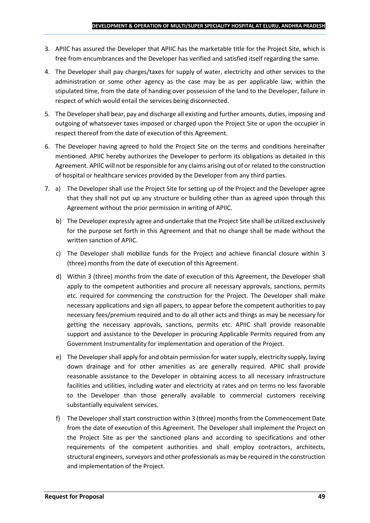- 3. APIIC has assured the Developer that APIIC has the marketable title for the Project Site, which is free from encumbrances and the Developer has verified and satisfied itself regarding the same.
- 4. The Developer shall pay charges/taxes for supply of water, electricity and other services to the administration or some other agency as the case may be as per applicable law, within the stipulated time, from the date of handing over possession of the land to the Developer, failure in respect of which would entail the services being disconnected.
- 5. The Developer shall bear, pay and discharge all existing and further amounts, duties, imposing and outgoing of whatsoever taxes imposed or charged upon the Project Site or upon the occupier in respect thereof from the date of execution of this Agreement.
- 6. The Developer having agreed to hold the Project Site on the terms and conditions hereinafter mentioned. APIIC hereby authorizes the Developer to perform its obligations as detailed in this Agreement. APIIC will not be responsible for any claims arising out of or related to the construction of hospital or healthcare services provided by the Developer from any third parties.
- 7. a) The Developer shall use the Project Site for setting up of the Project and the Developer agree that they shall not put up any structure or building other than as agreed upon through this Agreement without the prior permission in writing of APIIC.
	- b) The Developer expressly agree and undertake that the Project Site shall be utilized exclusively for the purpose set forth in this Agreement and that no change shall be made without the written sanction of APIIC.
	- c) The Developer shall mobilize funds for the Project and achieve financial closure within 3 (three) months from the date of execution of this Agreement.
	- d) Within 3 (three) months from the date of execution of this Agreement, the Developer shall apply to the competent authorities and procure all necessary approvals, sanctions, permits etc. required for commencing the construction for the Project. The Developer shall make necessary applications and sign all papers, to appear before the competent authorities to pay necessary fees/premium required and to do all other acts and things as may be necessary for getting the necessary approvals, sanctions, permits etc. APIIC shall provide reasonable support and assistance to the Developer in procuring Applicable Permits required from any Government Instrumentality for implementation and operation of the Project.
	- e) The Developer shall apply for and obtain permission for water supply, electricity supply, laying down drainage and for other amenities as are generally required. APIIC shall provide reasonable assistance to the Developer in obtaining access to all necessary infrastructure facilities and utilities, including water and electricity at rates and on terms no less favorable to the Developer than those generally available to commercial customers receiving substantially equivalent services.
	- f) The Developer shall start construction within 3 (three) months from the Commencement Date from the date of execution of this Agreement. The Developer shall implement the Project on the Project Site as per the sanctioned plans and according to specifications and other requirements of the competent authorities and shall employ contractors, architects, structural engineers, surveyors and other professionals as may be required in the construction and implementation of the Project.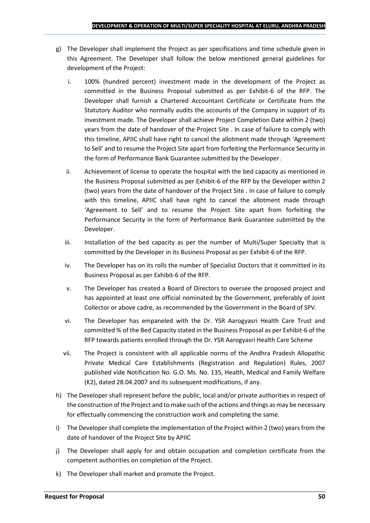- g) The Developer shall implement the Project as per specifications and time schedule given in this Agreement. The Developer shall follow the below mentioned general guidelines for development of the Project:
	- i. 100% (hundred percent) investment made in the development of the Project as committed in the Business Proposal submitted as per Exhibit-6 of the RFP. The Developer shall furnish a Chartered Accountant Certificate or Certificate from the Statutory Auditor who normally audits the accounts of the Company in support of its investment made. The Developer shall achieve Project Completion Date within 2 (two) years from the date of handover of the Project Site . In case of failure to comply with this timeline, APIIC shall have right to cancel the allotment made through 'Agreement to Sell' and to resume the Project Site apart from forfeiting the Performance Security in the form of Performance Bank Guarantee submitted by the Developer.
	- ii. Achievement of license to operate the hospital with the bed capacity as mentioned in the Business Proposal submitted as per Exhibit-6 of the RFP by the Developer within 2 (two) years from the date of handover of the Project Site . In case of failure to comply with this timeline, APIIC shall have right to cancel the allotment made through 'Agreement to Sell' and to resume the Project Site apart from forfeiting the Performance Security in the form of Performance Bank Guarantee submitted by the Developer.
	- iii. Installation of the bed capacity as per the number of Multi/Super Specialty that is committed by the Developer in its Business Proposal as per Exhibit-6 of the RFP.
	- iv. The Developer has on its rolls the number of Specialist Doctors that it committed in its Business Proposal as per Exhibit-6 of the RFP.
	- v. The Developer has created a Board of Directors to oversee the proposed project and has appointed at least one official nominated by the Government, preferably of Joint Collector or above cadre, as recommended by the Government in the Board of SPV.
	- vi. The Developer has empaneled with the Dr. YSR Aarogyasri Health Care Trust and committed % of the Bed Capacity stated in the Business Proposal as per Exhibit-6 of the RFP towards patients enrolled through the Dr. YSR Aarogyasri Health Care Scheme
	- vii. The Project is consistent with all applicable norms of the Andhra Pradesh Allopathic Private Medical Care Establishments (Registration and Regulation) Rules, 2007 published vide Notification No. G.O. Ms. No. 135, Health, Medical and Family Welfare (K2), dated 28.04.2007 and its subsequent modifications, if any.
- h) The Developer shall represent before the public, local and/or private authorities in respect of the construction of the Project and to make such of the actions and things as may be necessary for effectually commencing the construction work and completing the same.
- i) The Developer shall complete the implementation of the Project within 2 (two) years from the date of handover of the Project Site by APIIC
- j) The Developer shall apply for and obtain occupation and completion certificate from the competent authorities on completion of the Project.
- k) The Developer shall market and promote the Project.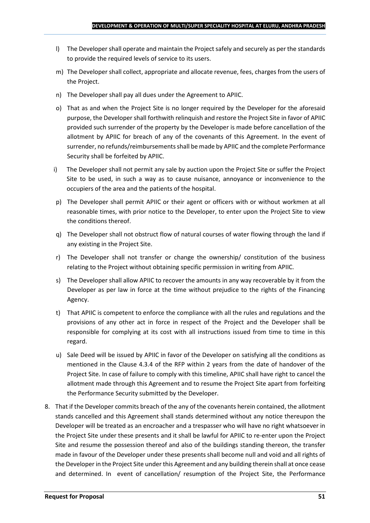- l) The Developer shall operate and maintain the Project safely and securely as per the standards to provide the required levels of service to its users.
- m) The Developer shall collect, appropriate and allocate revenue, fees, charges from the users of the Project.
- n) The Developer shall pay all dues under the Agreement to APIIC.
- o) That as and when the Project Site is no longer required by the Developer for the aforesaid purpose, the Developer shall forthwith relinquish and restore the Project Site in favor of APIIC provided such surrender of the property by the Developer is made before cancellation of the allotment by APIIC for breach of any of the covenants of this Agreement. In the event of surrender, no refunds/reimbursements shall be made by APIIC and the complete Performance Security shall be forfeited by APIIC.
- i) The Developer shall not permit any sale by auction upon the Project Site or suffer the Project Site to be used, in such a way as to cause nuisance, annoyance or inconvenience to the occupiers of the area and the patients of the hospital.
- p) The Developer shall permit APIIC or their agent or officers with or without workmen at all reasonable times, with prior notice to the Developer, to enter upon the Project Site to view the conditions thereof.
- q) The Developer shall not obstruct flow of natural courses of water flowing through the land if any existing in the Project Site.
- r) The Developer shall not transfer or change the ownership/ constitution of the business relating to the Project without obtaining specific permission in writing from APIIC.
- s) The Developer shall allow APIIC to recover the amounts in any way recoverable by it from the Developer as per law in force at the time without prejudice to the rights of the Financing Agency.
- t) That APIIC is competent to enforce the compliance with all the rules and regulations and the provisions of any other act in force in respect of the Project and the Developer shall be responsible for complying at its cost with all instructions issued from time to time in this regard.
- u) Sale Deed will be issued by APIIC in favor of the Developer on satisfying all the conditions as mentioned in the Clause 4.3.4 of the RFP within 2 years from the date of handover of the Project Site. In case of failure to comply with this timeline, APIIC shall have right to cancel the allotment made through this Agreement and to resume the Project Site apart from forfeiting the Performance Security submitted by the Developer.
- 8. That if the Developer commits breach of the any of the covenants herein contained, the allotment stands cancelled and this Agreement shall stands determined without any notice thereupon the Developer will be treated as an encroacher and a trespasser who will have no right whatsoever in the Project Site under these presents and it shall be lawful for APIIC to re-enter upon the Project Site and resume the possession thereof and also of the buildings standing thereon, the transfer made in favour of the Developer under these presents shall become null and void and all rights of the Developer in the Project Site under this Agreement and any building therein shall at once cease and determined. In event of cancellation/ resumption of the Project Site, the Performance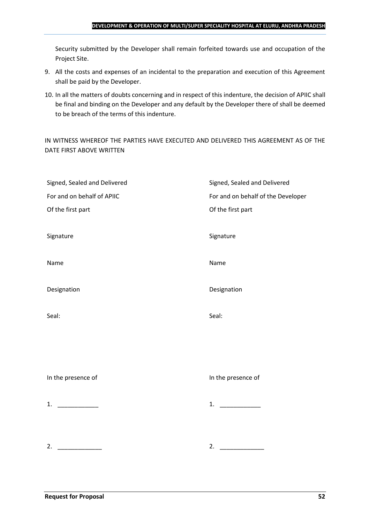Security submitted by the Developer shall remain forfeited towards use and occupation of the Project Site.

- 9. All the costs and expenses of an incidental to the preparation and execution of this Agreement shall be paid by the Developer.
- 10. In all the matters of doubts concerning and in respect of this indenture, the decision of APIIC shall be final and binding on the Developer and any default by the Developer there of shall be deemed to be breach of the terms of this indenture.

IN WITNESS WHEREOF THE PARTIES HAVE EXECUTED AND DELIVERED THIS AGREEMENT AS OF THE DATE FIRST ABOVE WRITTEN

| Signed, Sealed and Delivered | Signed, Sealed and Delivered       |
|------------------------------|------------------------------------|
| For and on behalf of APIIC   | For and on behalf of the Developer |
| Of the first part            | Of the first part                  |
|                              |                                    |
| Signature                    | Signature                          |
|                              |                                    |
| Name                         | Name                               |
|                              |                                    |
| Designation                  | Designation                        |
|                              |                                    |
| Seal:                        | Seal:                              |
|                              |                                    |
|                              |                                    |
|                              |                                    |
|                              |                                    |
| In the presence of           | In the presence of                 |
|                              |                                    |
| 1. $\qquad$                  | 1. $\qquad$                        |
|                              |                                    |
|                              |                                    |
|                              |                                    |
| 2.                           | 2.                                 |
|                              |                                    |